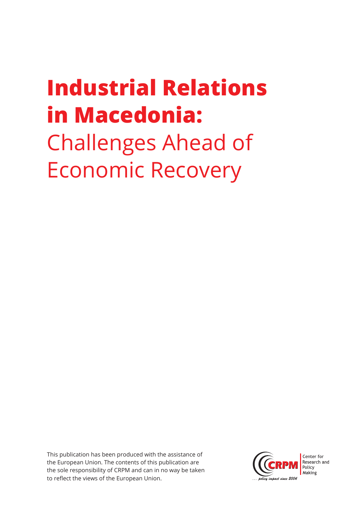# **Industrial Relations in Macedonia:** Challenges Ahead of Economic Recovery

This publication has been produced with the assistance of the European Union. The contents of this publication are the sole responsibility of CRPM and can in no way be taken to reflect the views of the European Union.

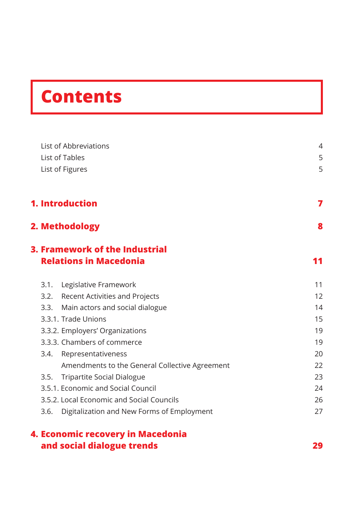# **Contents**

|      | List of Abbreviations                                           | 4                                                                          |
|------|-----------------------------------------------------------------|----------------------------------------------------------------------------|
|      | List of Tables                                                  | 5                                                                          |
|      | List of Figures                                                 | 5                                                                          |
|      | 1. Introduction                                                 | 7                                                                          |
|      | 2. Methodology                                                  | 8                                                                          |
|      | 3. Framework of the Industrial<br><b>Relations in Macedonia</b> | 11<br>11<br>12<br>14<br>15<br>19<br>19<br>20<br>22<br>23<br>24<br>26<br>27 |
| 3.1. | Legislative Framework                                           |                                                                            |
|      | 3.2. Recent Activities and Projects                             |                                                                            |
| 3.3. | Main actors and social dialogue                                 |                                                                            |
|      | 3.3.1. Trade Unions                                             |                                                                            |
|      | 3.3.2. Employers' Organizations                                 |                                                                            |
|      | 3.3.3. Chambers of commerce                                     |                                                                            |
| 3.4. | Representativeness                                              |                                                                            |
|      | Amendments to the General Collective Agreement                  |                                                                            |
| 3.5. | <b>Tripartite Social Dialogue</b>                               |                                                                            |
|      | 3.5.1. Economic and Social Council                              |                                                                            |
|      | 3.5.2. Local Economic and Social Councils                       |                                                                            |
| 3.6. | Digitalization and New Forms of Employment                      |                                                                            |
|      | 4. Essesseis vasausen: in Massalania                            |                                                                            |

### **4. Economic recovery in Macedonia and social dialogue trends 29**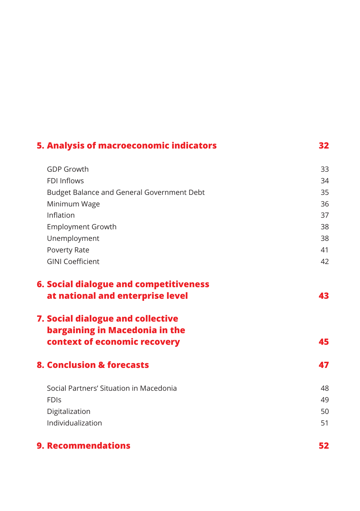| <b>5. Analysis of macroeconomic indicators</b>                                                      | 32 |
|-----------------------------------------------------------------------------------------------------|----|
| <b>GDP Growth</b>                                                                                   | 33 |
| <b>FDI Inflows</b>                                                                                  | 34 |
| Budget Balance and General Government Debt                                                          | 35 |
| Minimum Wage                                                                                        | 36 |
| Inflation                                                                                           | 37 |
| <b>Employment Growth</b>                                                                            | 38 |
| Unemployment                                                                                        | 38 |
| Poverty Rate                                                                                        | 41 |
| <b>GINI Coefficient</b>                                                                             | 42 |
| <b>6. Social dialogue and competitiveness</b><br>at national and enterprise level                   | 43 |
| 7. Social dialogue and collective<br>bargaining in Macedonia in the<br>context of economic recovery | 45 |
| <b>8. Conclusion &amp; forecasts</b>                                                                | 47 |
| Social Partners' Situation in Macedonia                                                             | 48 |
| <b>FDIS</b>                                                                                         | 49 |
| Digitalization                                                                                      | 50 |
| Individualization                                                                                   | 51 |
| <b>9. Recommendations</b>                                                                           | 52 |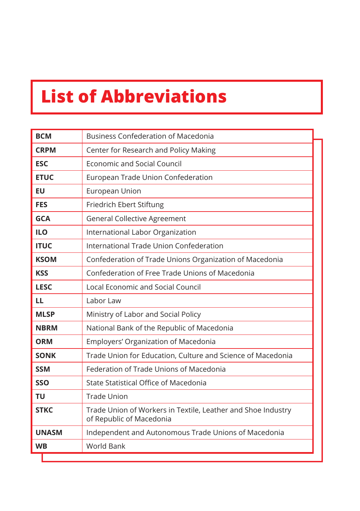## **List of Abbreviations**

| <b>BCM</b>   | <b>Business Confederation of Macedonia</b>                                               |
|--------------|------------------------------------------------------------------------------------------|
| <b>CRPM</b>  | Center for Research and Policy Making                                                    |
| <b>ESC</b>   | <b>Economic and Social Council</b>                                                       |
| <b>ETUC</b>  | European Trade Union Confederation                                                       |
| EU           | European Union                                                                           |
| <b>FES</b>   | Friedrich Ebert Stiftung                                                                 |
| <b>GCA</b>   | <b>General Collective Agreement</b>                                                      |
| <b>ILO</b>   | International Labor Organization                                                         |
| <b>ITUC</b>  | International Trade Union Confederation                                                  |
| <b>KSOM</b>  | Confederation of Trade Unions Organization of Macedonia                                  |
| <b>KSS</b>   | Confederation of Free Trade Unions of Macedonia                                          |
| <b>LESC</b>  | <b>Local Economic and Social Council</b>                                                 |
| LL           | Labor Law                                                                                |
| <b>MLSP</b>  | Ministry of Labor and Social Policy                                                      |
| <b>NBRM</b>  | National Bank of the Republic of Macedonia                                               |
| <b>ORM</b>   | Employers' Organization of Macedonia                                                     |
| <b>SONK</b>  | Trade Union for Education, Culture and Science of Macedonia                              |
| <b>SSM</b>   | Federation of Trade Unions of Macedonia                                                  |
| <b>SSO</b>   | State Statistical Office of Macedonia                                                    |
| TU           | <b>Trade Union</b>                                                                       |
| <b>STKC</b>  | Trade Union of Workers in Textile, Leather and Shoe Industry<br>of Republic of Macedonia |
| <b>UNASM</b> | Independent and Autonomous Trade Unions of Macedonia                                     |
| <b>WB</b>    | <b>World Bank</b>                                                                        |
|              |                                                                                          |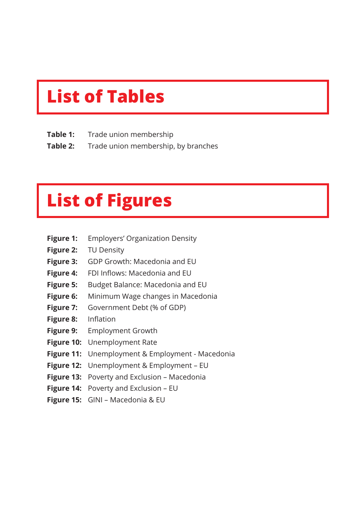## **List of Tables**

- **Table 1:** Trade union membership
- **Table 2:** Trade union membership, by branches

## **List of Figures**

- **Figure 1:** Employers' Organization Density
- **Figure 2:** TU Density
- **Figure 3:** GDP Growth: Macedonia and EU
- **Figure 4:** FDI Inflows: Macedonia and EU
- **Figure 5:** Budget Balance: Macedonia and EU
- **Figure 6:** Minimum Wage changes in Macedonia
- **Figure 7:** Government Debt (% of GDP)
- **Figure 8:** Inflation
- **Figure 9:** Employment Growth
- **Figure 10:** Unemployment Rate
- **Figure 11:** Unemployment & Employment Macedonia
- **Figure 12:** Unemployment & Employment EU
- **Figure 13:** Poverty and Exclusion Macedonia
- **Figure 14:** Poverty and Exclusion EU
- **Figure 15:** GINI Macedonia & EU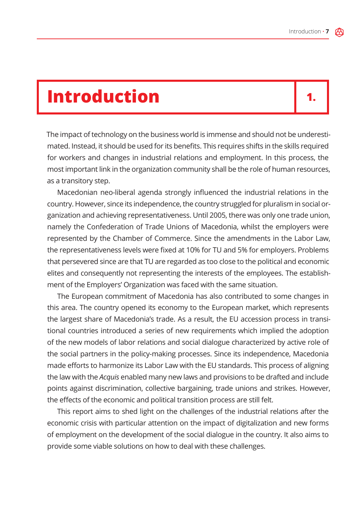## **Introduction**

## **1.**

The impact of technology on the business world is immense and should not be underestimated. Instead, it should be used for its benefits. This requires shifts in the skills required for workers and changes in industrial relations and employment. In this process, the most important link in the organization community shall be the role of human resources, as a transitory step.

Macedonian neo-liberal agenda strongly influenced the industrial relations in the country. However, since its independence, the country struggled for pluralism in social organization and achieving representativeness. Until 2005, there was only one trade union, namely the Confederation of Trade Unions of Macedonia, whilst the employers were represented by the Chamber of Commerce. Since the amendments in the Labor Law, the representativeness levels were fixed at 10% for TU and 5% for employers. Problems that persevered since are that TU are regarded as too close to the political and economic elites and consequently not representing the interests of the employees. The establishment of the Employers' Organization was faced with the same situation.

The European commitment of Macedonia has also contributed to some changes in this area. The country opened its economy to the European market, which represents the largest share of Macedonia's trade. As a result, the EU accession process in transitional countries introduced a series of new requirements which implied the adoption of the new models of labor relations and social dialogue characterized by active role of the social partners in the policy-making processes. Since its independence, Macedonia made efforts to harmonize its Labor Law with the EU standards. This process of aligning the law with the *Acquis* enabled many new laws and provisions to be drafted and include points against discrimination, collective bargaining, trade unions and strikes. However, the effects of the economic and political transition process are still felt.

This report aims to shed light on the challenges of the industrial relations after the economic crisis with particular attention on the impact of digitalization and new forms of employment on the development of the social dialogue in the country. It also aims to provide some viable solutions on how to deal with these challenges.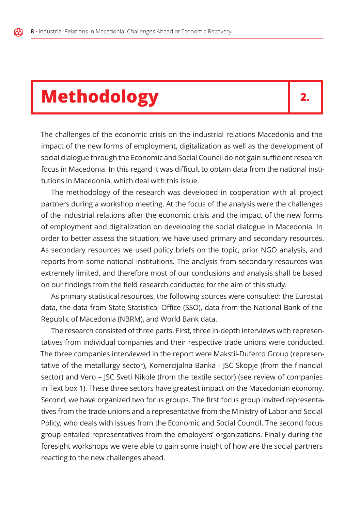## **Methodology**

**2.**

The challenges of the economic crisis on the industrial relations Macedonia and the impact of the new forms of employment, digitalization as well as the development of social dialogue through the Economic and Social Council do not gain sufficient research focus in Macedonia. In this regard it was difficult to obtain data from the national institutions in Macedonia, which deal with this issue.

The methodology of the research was developed in cooperation with all project partners during a workshop meeting. At the focus of the analysis were the challenges of the industrial relations after the economic crisis and the impact of the new forms of employment and digitalization on developing the social dialogue in Macedonia. In order to better assess the situation, we have used primary and secondary resources. As secondary resources we used policy briefs on the topic, prior NGO analysis, and reports from some national institutions. The analysis from secondary resources was extremely limited, and therefore most of our conclusions and analysis shall be based on our findings from the field research conducted for the aim of this study.

As primary statistical resources, the following sources were consulted: the Eurostat data, the data from State Statistical Office (SSO), data from the National Bank of the Republic of Macedonia (NBRM), and World Bank data.

The research consisted of three parts. First, three in-depth interviews with representatives from individual companies and their respective trade unions were conducted. The three companies interviewed in the report were Makstil-Duferco Group (representative of the metallurgy sector), Komercijalna Banka - JSC Skopje (from the financial sector) and Vero – JSC Sveti Nikole (from the textile sector) (see review of companies in Text box 1). These three sectors have greatest impact on the Macedonian economy. Second, we have organized two focus groups. The first focus group invited representatives from the trade unions and a representative from the Ministry of Labor and Social Policy, who deals with issues from the Economic and Social Council. The second focus group entailed representatives from the employers' organizations. Finally during the foresight workshops we were able to gain some insight of how are the social partners reacting to the new challenges ahead.

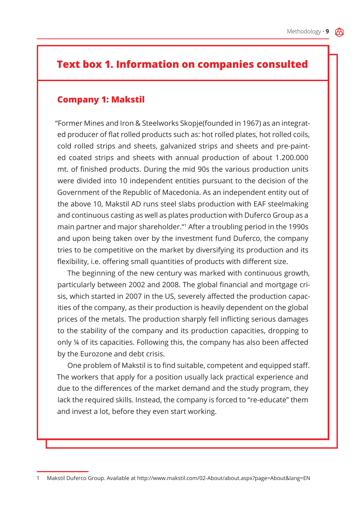## **Text box 1. Information on companies consulted**

#### **Company 1: Makstil**

"Former Mines and Iron & Steelworks Skopje(founded in 1967) as an integrated producer of flat rolled products such as: hot rolled plates, hot rolled coils, cold rolled strips and sheets, galvanized strips and sheets and pre-painted coated strips and sheets with annual production of about 1.200.000 mt. of finished products. During the mid 90s the various production units were divided into 10 independent entities pursuant to the decision of the Government of the Republic of Macedonia. As an independent entity out of the above 10, Makstil AD runs steel slabs production with EAF steelmaking and continuous casting as well as plates production with Duferco Group as a main partner and major shareholder."1 After a troubling period in the 1990s and upon being taken over by the investment fund Duferco, the company tries to be competitive on the market by diversifying its production and its flexibility, i.e. offering small quantities of products with different size.

The beginning of the new century was marked with continuous growth, particularly between 2002 and 2008. The global financial and mortgage crisis, which started in 2007 in the US, severely affected the production capacities of the company, as their production is heavily dependent on the global prices of the metals. The production sharply fell inflicting serious damages to the stability of the company and its production capacities, dropping to only ¼ of its capacities. Following this, the company has also been affected by the Eurozone and debt crisis.

One problem of Makstil is to find suitable, competent and equipped staff. The workers that apply for a position usually lack practical experience and due to the differences of the market demand and the study program, they lack the required skills. Instead, the company is forced to "re-educate" them and invest a lot, before they even start working.

<sup>1</sup> Makstil Duferco Group. Available at http://www.makstil.com/02-About/about.aspx?page=About&lang=EN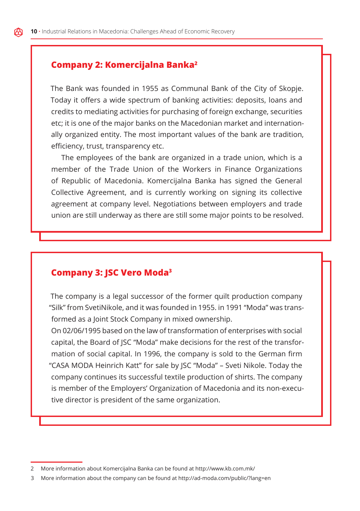#### **Company 2: Komercijalna Banka2**

The Bank was founded in 1955 as Communal Bank of the City of Skopje. Today it offers a wide spectrum of banking activities: deposits, loans and credits to mediating activities for purchasing of foreign exchange, securities etc; it is one of the major banks on the Macedonian market and internationally organized entity. The most important values of the bank are tradition, efficiency, trust, transparency etc.

The employees of the bank are organized in a trade union, which is a member of the Trade Union of the Workers in Finance Organizations of Republic of Macedonia. Komercijalna Banka has signed the General Collective Agreement, and is currently working on signing its collective agreement at company level. Negotiations between employers and trade union are still underway as there are still some major points to be resolved.

#### **Company 3: JSC Vero Moda3**

The company is a legal successor of the former quilt production company "Silk" from SvetiNikole, and it was founded in 1955. in 1991 "Moda" was transformed as a Joint Stock Company in mixed ownership.

On 02/06/1995 based on the law of transformation of enterprises with social capital, the Board of JSC "Moda" make decisions for the rest of the transformation of social capital. In 1996, the company is sold to the German firm "CASA MODA Heinrich Katt" for sale by JSC "Moda" – Sveti Nikole. Today the company continues its successful textile production of shirts. The company is member of the Employers' Organization of Macedonia and its non-executive director is president of the same organization.

<sup>2</sup> More information about Komercijalna Banka can be found at http://www.kb.com.mk/

<sup>3</sup> More information about the company can be found at http://ad-moda.com/public/?lang=en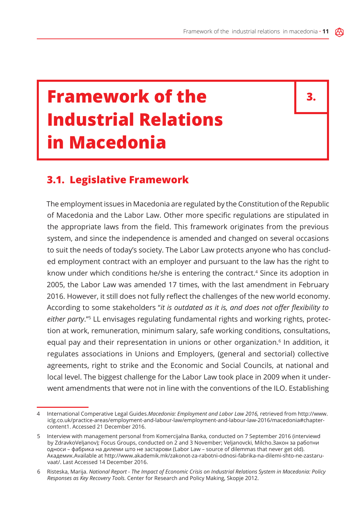## **Framework of the Industrial Relations in Macedonia**

**3.**

### **3.1. Legislative Framework**

The employment issues in Macedonia are regulated by the Constitution of the Republic of Macedonia and the Labor Law. Other more specific regulations are stipulated in the appropriate laws from the field. This framework originates from the previous system, and since the independence is amended and changed on several occasions to suit the needs of today's society. The Labor Law protects anyone who has concluded employment contract with an employer and pursuant to the law has the right to know under which conditions he/she is entering the contract.4 Since its adoption in 2005, the Labor Law was amended 17 times, with the last amendment in February 2016. However, it still does not fully reflect the challenges of the new world economy. According to some stakeholders "*it is outdated as it is, and does not offer flexibility to either party*."5 LL envisages regulating fundamental rights and working rights, protection at work, remuneration, minimum salary, safe working conditions, consultations, equal pay and their representation in unions or other organization.<sup>6</sup> In addition, it regulates associations in Unions and Employers, (general and sectorial) collective agreements, right to strike and the Economic and Social Councils, at national and local level. The biggest challenge for the Labor Law took place in 2009 when it underwent amendments that were not in line with the conventions of the ILO. Establishing

<sup>4</sup> International Comperative Legal Guides.*Macedonia: Employment and Labor Law 2016,* retrieved from http://www. iclg.co.uk/practice-areas/employment-and-labour-law/employment-and-labour-law-2016/macedonia#chaptercontent1. Accessed 21 December 2016.

<sup>5</sup> Interview with management personal from Komercijalna Banka, conducted on 7 September 2016 (interviewd by ZdravkoVeljanov); Focus Groups, conducted on 2 and 3 November; Veljanovcki, Milcho.Закон за работни односи – фабрика на дилеми што не застарови (Labor Law – source of dilemmas that never get old). Aкадемик.Available at http://www.akademik.mk/zakonot-za-rabotni-odnosi-fabrika-na-dilemi-shto-ne-zastaruvaat/. Last Accessed 14 December 2016.

<sup>6</sup> Risteska, Marija. *National Report - The Impact of Economic Crisis on Industrial Relations System in Macedonia: Policy Responses as Key Recovery Tools.* Center for Research and Policy Making, Skopje 2012.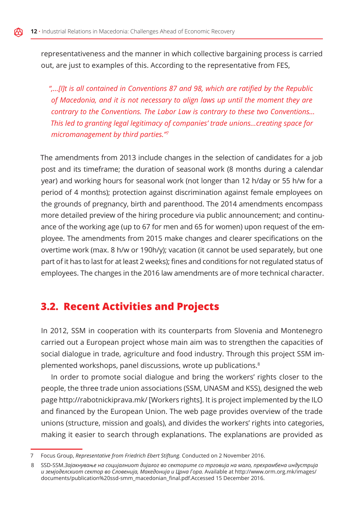representativeness and the manner in which collective bargaining process is carried out, are just to examples of this. According to the representative from FES,

*",…[I]t is all contained in Conventions 87 and 98, which are ratified by the Republic of Macedonia, and it is not necessary to align laws up until the moment they are contrary to the Conventions. The Labor Law is contrary to these two Conventions… This led to granting legal legitimacy of companies' trade unions…creating space for micromanagement by third parties."7*

The amendments from 2013 include changes in the selection of candidates for a job post and its timeframe; the duration of seasonal work (8 months during a calendar year) and working hours for seasonal work (not longer than 12 h/day or 55 h/w for a period of 4 months); protection against discrimination against female employees on the grounds of pregnancy, birth and parenthood. The 2014 amendments encompass more detailed preview of the hiring procedure via public announcement; and continuance of the working age (up to 67 for men and 65 for women) upon request of the employee. The amendments from 2015 make changes and clearer specifications on the overtime work (max. 8 h/w or 190h/y); vacation (it cannot be used separately, but one part of it has to last for at least 2 weeks); fines and conditions for not regulated status of employees. The changes in the 2016 law amendments are of more technical character.

### **3.2. Recent Activities and Projects**

In 2012, SSM in cooperation with its counterparts from Slovenia and Montenegro carried out a European project whose main aim was to strengthen the capacities of social dialogue in trade, agriculture and food industry. Through this project SSM implemented workshops, panel discussions, wrote up publications.<sup>8</sup>

In order to promote social dialogue and bring the workers' rights closer to the people, the three trade union associations (SSM, UNASM and KSS), designed the web page http://rabotnickiprava.mk/ [Workers rights]. It is project implemented by the ILO and financed by the European Union. The web page provides overview of the trade unions (structure, mission and goals), and divides the workers' rights into categories, making it easier to search through explanations. The explanations are provided as

<sup>7</sup> Focus Group, *Representative from Friedrich Ebert Stiftung.* Conducted on 2 November 2016.

<sup>8</sup> SSD-SSM.*Зајакнување на социјалниот дијалог во секторите со трговија на мало, прехрамбена индустрија и земјоделскиот сектор во Словенија, Македонија и Црна Гора.* Available at http://www.orm.org.mk/images/ documents/publication%20ssd-smm\_macedonian\_final.pdf.Accessed 15 December 2016.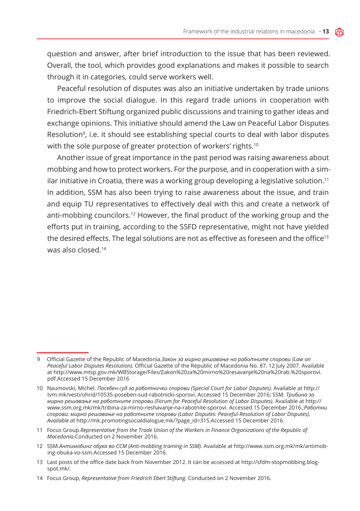question and answer, after brief introduction to the issue that has been reviewed. Overall, the tool, which provides good explanations and makes it possible to search through it in categories, could serve workers well.

Peaceful resolution of disputes was also an initiative undertaken by trade unions to improve the social dialogue. In this regard trade unions in cooperation with Friedrich-Ebert Stiftung organized public discussions and training to gather ideas and exchange opinions. This initiative should amend the Law on Peaceful Labor Disputes Resolution<sup>9</sup>, i.e. it should see establishing special courts to deal with labor disputes with the sole purpose of greater protection of workers' rights.<sup>10</sup>

Another issue of great importance in the past period was raising awareness about mobbing and how to protect workers. For the purpose, and in cooperation with a similar initiative in Croatia, there was a working group developing a legislative solution.11 In addition, SSM has also been trying to raise awareness about the issue, and train and equip TU representatives to effectively deal with this and create a network of anti-mobbing councilors.12 However, the final product of the working group and the efforts put in training, according to the SSFD representative, might not have yielded the desired effects. The legal solutions are not as effective as foreseen and the office<sup>13</sup> was also closed.14

13 Last posts of the office date back from November 2012. It can be accessed at http://sfdm-stopmobbing.blogspot.mk/.

<sup>9</sup> Official Gazette of the Republic of Macedonia.*Закон за мирно решавање на работните спорови (Law on Peaceful Labor Disputes Resolution).* Official Gazette of the Republic of Macedonia No. 87, 12 July 2007. Available at http://www.mtsp.gov.mk/WBStorage/Files/Zakon%20za%20mirno%20resavanje%20na%20rab.%20sporovi. pdf.Accessed 15 December 2016

<sup>10</sup> Naumovski, Michel. *Посебен суд за работнички спорови (Special Court for Labor Disputes).* Available at http:// tvm.mk/vesti/ohrid/10535-poseben-sud-rabotnicki-sporovi. Accessed 15 December 2016; SSM. *Трибина за мирно решавање на работните спорови (Forum for Peaceful Resolution of Labor Disputes).* Available at http:// www.ssm.org.mk/mk/tribina-za-mirno-reshavanje-na-rabotnite-sporovi. Accessed 15 December 2016.;*Работни спорови: мирно решавање на работните спорови (Labor Disputes: Peaceful Resolution of Labor Disputes). Available at* http://mk.promotingsocialdialogue.mk/?page\_id=315.Accessed 15 December 2016.

<sup>11</sup> Focus Group.*Representative from the Trade Union of the Workers in Finance Organizations of the Republic of Macedonia.*Conducted on 2 November 2016.

<sup>12</sup> SSM.*Антимобинг обука во ССМ (Anti-mobbing training in SSM).* Available at http://www.ssm.org.mk/mk/antimobing-obuka-vo-ssm.Accessed 15 December 2016.

<sup>14</sup> Focus Group, *Representative from Friedrich Ebert Stiftung.* Conducted on 2 November 2016.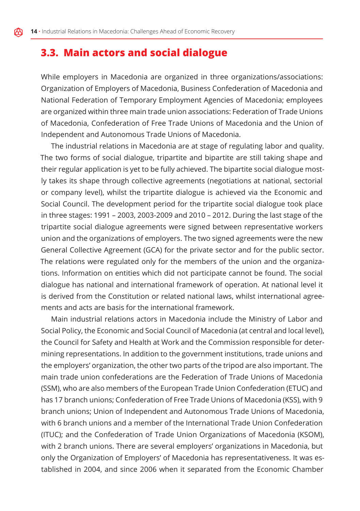ለአ

## **3.3. Main actors and social dialogue**

While employers in Macedonia are organized in three organizations/associations: Organization of Employers of Macedonia, Business Confederation of Macedonia and National Federation of Temporary Employment Agencies of Macedonia; employees are organized within three main trade union associations: Federation of Trade Unions of Macedonia, Confederation of Free Trade Unions of Macedonia and the Union of Independent and Autonomous Trade Unions of Macedonia.

The industrial relations in Macedonia are at stage of regulating labor and quality. The two forms of social dialogue, tripartite and bipartite are still taking shape and their regular application is yet to be fully achieved. The bipartite social dialogue mostly takes its shape through collective agreements (negotiations at national, sectorial or company level), whilst the tripartite dialogue is achieved via the Economic and Social Council. The development period for the tripartite social dialogue took place in three stages: 1991 – 2003, 2003-2009 and 2010 – 2012. During the last stage of the tripartite social dialogue agreements were signed between representative workers union and the organizations of employers. The two signed agreements were the new General Collective Agreement (GCA) for the private sector and for the public sector. The relations were regulated only for the members of the union and the organizations. Information on entities which did not participate cannot be found. The social dialogue has national and international framework of operation. At national level it is derived from the Constitution or related national laws, whilst international agreements and acts are basis for the international framework.

Main industrial relations actors in Macedonia include the Ministry of Labor and Social Policy, the Economic and Social Council of Macedonia (at central and local level), the Council for Safety and Health at Work and the Commission responsible for determining representations. In addition to the government institutions, trade unions and the employers' organization, the other two parts of the tripod are also important. The main trade union confederations are the Federation of Trade Unions of Macedonia (SSM), who are also members of the European Trade Union Confederation (ETUC) and has 17 branch unions; Confederation of Free Trade Unions of Macedonia (KSS), with 9 branch unions; Union of Independent and Autonomous Trade Unions of Macedonia, with 6 branch unions and a member of the International Trade Union Confederation (ITUC); and the Confederation of Trade Union Organizations of Macedonia (KSOM), with 2 branch unions. There are several employers' organizations in Macedonia, but only the Organization of Employers' of Macedonia has representativeness. It was established in 2004, and since 2006 when it separated from the Economic Chamber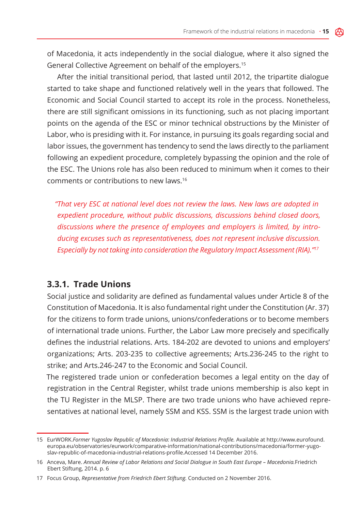of Macedonia, it acts independently in the social dialogue, where it also signed the General Collective Agreement on behalf of the employers.15

After the initial transitional period, that lasted until 2012, the tripartite dialogue started to take shape and functioned relatively well in the years that followed. The Economic and Social Council started to accept its role in the process. Nonetheless, there are still significant omissions in its functioning, such as not placing important points on the agenda of the ESC or minor technical obstructions by the Minister of Labor, who is presiding with it. For instance, in pursuing its goals regarding social and labor issues, the government has tendency to send the laws directly to the parliament following an expedient procedure, completely bypassing the opinion and the role of the ESC. The Unions role has also been reduced to minimum when it comes to their comments or contributions to new laws.16

*"That very ESC at national level does not review the laws. New laws are adopted in expedient procedure, without public discussions, discussions behind closed doors, discussions where the presence of employees and employers is limited, by introducing excuses such as representativeness, does not represent inclusive discussion. Especially by not taking into consideration the Regulatory Impact Assessment (RIA)."17*

#### **3.3.1. Trade Unions**

Social justice and solidarity are defined as fundamental values under Article 8 of the Constitution of Macedonia. It is also fundamental right under the Constitution (Ar. 37) for the citizens to form trade unions, unions/confederations or to become members of international trade unions. Further, the Labor Law more precisely and specifically defines the industrial relations. Arts. 184-202 are devoted to unions and employers' organizations; Arts. 203-235 to collective agreements; Arts.236-245 to the right to strike; and Arts.246-247 to the Economic and Social Council.

The registered trade union or confederation becomes a legal entity on the day of registration in the Central Register, whilst trade unions membership is also kept in the TU Register in the MLSP. There are two trade unions who have achieved representatives at national level, namely SSM and KSS. SSM is the largest trade union with

<sup>15</sup> EurWORK.*Former Yugoslav Republic of Macedonia: Industrial Relations Profile.* Available at http://www.eurofound. europa.eu/observatories/eurwork/comparative-information/national-contributions/macedonia/former-yugoslav-republic-of-macedonia-industrial-relations-profile.Accessed 14 December 2016.

<sup>16</sup> Anceva, Mare. *Annual Review of Labor Relations and Social Dialogue in South East Europe – Macedonia.*Friedrich Ebert Stiftung, 2014. p. 6

<sup>17</sup> Focus Group, *Representative from Friedrich Ebert Stiftung.* Conducted on 2 November 2016.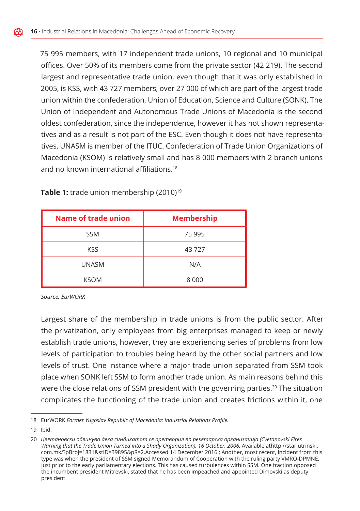75 995 members, with 17 independent trade unions, 10 regional and 10 municipal offices. Over 50% of its members come from the private sector (42 219). The second largest and representative trade union, even though that it was only established in 2005, is KSS, with 43 727 members, over 27 000 of which are part of the largest trade union within the confederation, Union of Education, Science and Culture (SONK). The Union of Independent and Autonomous Trade Unions of Macedonia is the second oldest confederation, since the independence, however it has not shown representatives and as a result is not part of the ESC. Even though it does not have representatives, UNASM is member of the ITUC. Confederation of Trade Union Organizations of Macedonia (KSOM) is relatively small and has 8 000 members with 2 branch unions and no known international affiliations.<sup>18</sup>

| Name of trade union | <b>Membership</b> |
|---------------------|-------------------|
| <b>SSM</b>          | 75 995            |
| <b>KSS</b>          | 43727             |
| <b>UNASM</b>        | N/A               |
| <b>KSOM</b>         | 8 0 0 0           |

**Table 1:** trade union membership (2010)<sup>19</sup>

*Source: EurWORK*

Largest share of the membership in trade unions is from the public sector. After the privatization, only employees from big enterprises managed to keep or newly establish trade unions, however, they are experiencing series of problems from low levels of participation to troubles being heard by the other social partners and low levels of trust. One instance where a major trade union separated from SSM took place when SONK left SSM to form another trade union. As main reasons behind this were the close relations of SSM president with the governing parties.<sup>20</sup> The situation complicates the functioning of the trade union and creates frictions within it, one

<sup>18</sup> EurWORK.*Former Yugoslav Republic of Macedonia: Industrial Relations Profile.*

<sup>19</sup> Ibid.

<sup>20</sup> *Цветановски обвинува дека синдикатот се претворил во рекетарска организација (Cvetanovski Fires*  Warning that the Trade Union Turned into a Shady Organization), 16 October, 2006. Available athttp://star.utrinski. com.mk/?pBroj=1831&stID=39895&pR=2.Accessed 14 December 2016.; Another, most recent, incident from this type was when the president of SSM signed Memorandum of Cooperation with the ruling party VMRO-DPMNE, just prior to the early parliamentary elections. This has caused turbulences within SSM. One fraction opposed the incumbent president Mitrevski, stated that he has been impeached and appointed Dimovski as deputy president.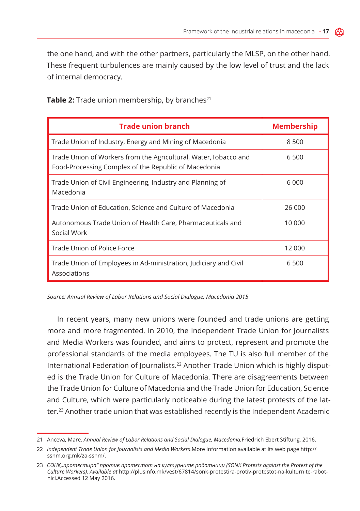the one hand, and with the other partners, particularly the MLSP, on the other hand. These frequent turbulences are mainly caused by the low level of trust and the lack of internal democracy.

| <b>Trade union branch</b>                                                                                               | <b>Membership</b> |
|-------------------------------------------------------------------------------------------------------------------------|-------------------|
| Trade Union of Industry, Energy and Mining of Macedonia                                                                 | 8 500             |
| Trade Union of Workers from the Agricultural, Water,Tobacco and<br>Food-Processing Complex of the Republic of Macedonia | 6 500             |
| Trade Union of Civil Engineering, Industry and Planning of<br>Macedonia                                                 | 6 0 0 0           |
| Trade Union of Education, Science and Culture of Macedonia                                                              | 26 000            |
| Autonomous Trade Union of Health Care, Pharmaceuticals and<br>Social Work                                               | 10 000            |
| Trade Union of Police Force                                                                                             | 12 000            |
| Trade Union of Employees in Ad-ministration, Judiciary and Civil<br>Associations                                        | 6 500             |

**Table 2:** Trade union membership, by branches<sup>21</sup>

*Source: Annual Review of Labor Relations and Social Dialogue, Macedonia 2015*

In recent years, many new unions were founded and trade unions are getting more and more fragmented. In 2010, the Independent Trade Union for Journalists and Media Workers was founded, and aims to protect, represent and promote the professional standards of the media employees. The TU is also full member of the International Federation of Journalists.22 Another Trade Union which is highly disputed is the Trade Union for Culture of Macedonia. There are disagreements between the Trade Union for Culture of Macedonia and the Trade Union for Education, Science and Culture, which were particularly noticeable during the latest protests of the latter.23 Another trade union that was established recently is the Independent Academic

<sup>21</sup> Anceva, Mare. *Annual Review of Labor Relations and Social Dialogue, Macedonia.*Friedrich Ebert Stiftung, 2016.

<sup>22</sup> *Independent Trade Union for Journalists and Media Workers*.More information available at its web page http:// ssnm.org.mk/za-ssnm/.

<sup>23</sup> *СОНК,,протестира" против протестот на културните работници (SONK Protests against the Protest of the Culture Workers). Available at* http://plusinfo.mk/vest/67814/sonk-protestira-protiv-protestot-na-kulturnite-rabotnici.Accessed 12 May 2016.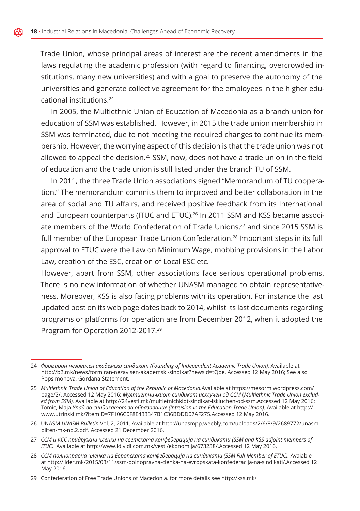Trade Union, whose principal areas of interest are the recent amendments in the laws regulating the academic profession (with regard to financing, overcrowded institutions, many new universities) and with a goal to preserve the autonomy of the universities and generate collective agreement for the employees in the higher educational institutions.24

In 2005, the Multiethnic Union of Education of Macedonia as a branch union for education of SSM was established. However, in 2015 the trade union membership in SSM was terminated, due to not meeting the required changes to continue its membership. However, the worrying aspect of this decision is that the trade union was not allowed to appeal the decision.25 SSM, now, does not have a trade union in the field of education and the trade union is still listed under the branch TU of SSM.

In 2011, the three Trade Union associations signed "Memorandum of TU cooperation." The memorandum commits them to improved and better collaboration in the area of social and TU affairs, and received positive feedback from its International and European counterparts (ITUC and ETUC).26 In 2011 SSM and KSS became associate members of the World Confederation of Trade Unions,27 and since 2015 SSM is full member of the European Trade Union Confederation.<sup>28</sup> Important steps in its full approval to ETUC were the Law on Minimum Wage, mobbing provisions in the Labor Law, creation of the ESC, creation of Local ESC etc.

However, apart from SSM, other associations face serious operational problems. There is no new information of whether UNASM managed to obtain representativeness. Moreover, KSS is also facing problems with its operation. For instance the last updated post on its web page dates back to 2014, whilst its last documents regarding programs or platforms for operation are from December 2012, when it adopted the Program for Operation 2012-2017.29

- 27 *ССМ и КСС придружни членки на светската конфедерација на синдикати (SSM and KSS adjoint members of ITUC).* Available at http://www.idividi.com.mk/vesti/ekonomija/673238/.Accessed 12 May 2016.
- 28 *ССМ полноправна членка на Европската конфедерација на синдикати (SSM Full Member of ETUC).* Avaiable at http://lider.mk/2015/03/11/ssm-polnopravna-clenka-na-evropskata-konfederacija-na-sindikati/.Accessed 12 May 2016.

29 Confederation of Free Trade Unions of Macedonia. for more details see http://kss.mk/

<sup>24</sup> *Формиран независен академски синдикат (Founding of Independent Academic Trade Union).* Available at http://b2.mk/news/formiran-nezavisen-akademski-sindikat?newsid=tQbe. Accessed 12 May 2016; See also Popsimonova, Gordana Statement.

<sup>25</sup> *Multiethnic Trade Union of Education of the Republic of Macedonia.*Available at https://mesorm.wordpress.com/ page/2/. Accessed 12 May 2016; *Мултиетничкиот синдикат исклучен од ССМ* (*Multiethnic Trade Union excluded from SSM).* Available at http://24vesti.mk/multietnichkiot-sindikat-iskluchen-od-ssm.Accessed 12 May 2016; Tomic, Maja.*Упад во синдикатот за образование (Intrusion in the Education Trade Union).* Available at http:// www.utrinski.mk/?ItemID=7F106C0F8E433347B1C36BDDD07AF275.Accessed 12 May 2016.

<sup>26</sup> UNASM.*UNASM Bulletin.*Vol. 2, 2011. Available at http://unasmpp.weebly.com/uploads/2/6/8/9/2689772/unasmbilten-mk-no.2.pdf. Accessed 21 December 2016.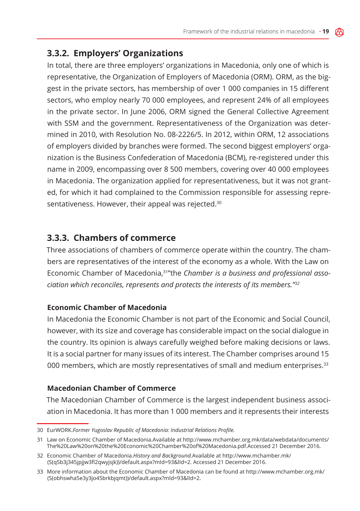### **3.3.2. Employers' Organizations**

In total, there are three employers' organizations in Macedonia, only one of which is representative, the Organization of Employers of Macedonia (ORM). ORM, as the biggest in the private sectors, has membership of over 1 000 companies in 15 different sectors, who employ nearly 70 000 employees, and represent 24% of all employees in the private sector. In June 2006, ORM signed the General Collective Agreement with SSM and the government. Representativeness of the Organization was determined in 2010, with Resolution No. 08-2226/5. In 2012, within ORM, 12 associations of employers divided by branches were formed. The second biggest employers' organization is the Business Confederation of Macedonia (BCM), re-registered under this name in 2009, encompassing over 8 500 members, covering over 40 000 employees in Macedonia. The organization applied for representativeness, but it was not granted, for which it had complained to the Commission responsible for assessing representativeness. However, their appeal was rejected.<sup>30</sup>

#### **3.3.3. Chambers of commerce**

Three associations of chambers of commerce operate within the country. The chambers are representatives of the interest of the economy as a whole. With the Law on Economic Chamber of Macedonia,31"the *Chamber is a business and professional association which reconciles, represents and protects the interests of its members."32*

#### **Economic Chamber of Macedonia**

In Macedonia the Economic Chamber is not part of the Economic and Social Council, however, with its size and coverage has considerable impact on the social dialogue in the country. Its opinion is always carefully weighed before making decisions or laws. It is a social partner for many issues of its interest. The Chamber comprises around 15 000 members, which are mostly representatives of small and medium enterprises.33

#### **Macedonian Chamber of Commerce**

The Macedonian Chamber of Commerce is the largest independent business association in Macedonia. It has more than 1 000 members and it represents their interests

<sup>30</sup> EurWORK.*Former Yugoslav Republic of Macedonia: Industrial Relations Profile.*

<sup>31</sup> Law on Economic Chamber of Macedonia.Available at http://www.mchamber.org.mk/data/webdata/documents/ The%20Law%20on%20the%20Economic%20Chamber%20of%20Macedonia.pdf.Accessed 21 December 2016.

<sup>32</sup> Economic Chamber of Macedonia.*History and Background.*Available at http://www.mchamber.mk/ (S(q5b3j345jpjjw3fl2qwyjsjk))/default.aspx?mId=93&lId=2. Accessed 21 December 2016.

<sup>33</sup> More information about the Economic Chamber of Macedonia can be found at http://www.mchamber.org.mk/ (S(obhswha5e3y3jo45brkbjqmt))/default.aspx?mId=93&lId=2.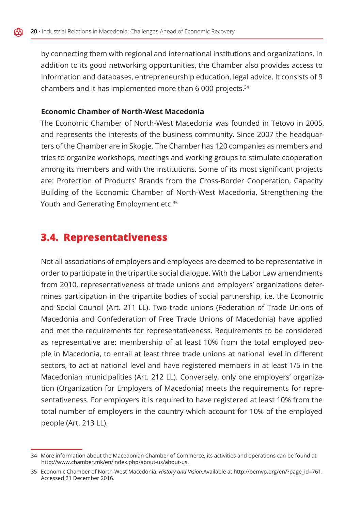by connecting them with regional and international institutions and organizations. In addition to its good networking opportunities, the Chamber also provides access to information and databases, entrepreneurship education, legal advice. It consists of 9 chambers and it has implemented more than 6 000 projects.34

#### **Economic Chamber of North-West Macedonia**

The Economic Chamber of North-West Macedonia was founded in Tetovo in 2005, and represents the interests of the business community. Since 2007 the headquarters of the Chamber are in Skopje. The Chamber has 120 companies as members and tries to organize workshops, meetings and working groups to stimulate cooperation among its members and with the institutions. Some of its most significant projects are: Protection of Products' Brands from the Cross-Border Cooperation, Capacity Building of the Economic Chamber of North-West Macedonia, Strengthening the Youth and Generating Employment etc.<sup>35</sup>

## **3.4. Representativeness**

Not all associations of employers and employees are deemed to be representative in order to participate in the tripartite social dialogue. With the Labor Law amendments from 2010, representativeness of trade unions and employers' organizations determines participation in the tripartite bodies of social partnership, i.e. the Economic and Social Council (Art. 211 LL). Two trade unions (Federation of Trade Unions of Macedonia and Confederation of Free Trade Unions of Macedonia) have applied and met the requirements for representativeness. Requirements to be considered as representative are: membership of at least 10% from the total employed people in Macedonia, to entail at least three trade unions at national level in different sectors, to act at national level and have registered members in at least 1/5 in the Macedonian municipalities (Art. 212 LL). Conversely, only one employers' organization (Organization for Employers of Macedonia) meets the requirements for representativeness. For employers it is required to have registered at least 10% from the total number of employers in the country which account for 10% of the employed people (Art. 213 LL).

<sup>34</sup> More information about the Macedonian Chamber of Commerce, its activities and operations can be found at http://www.chamber.mk/en/index.php/about-us/about-us.

<sup>35</sup> Economic Chamber of North-West Macedonia. *History and Vision.*Available at http://oemvp.org/en/?page\_id=761. Accessed 21 December 2016.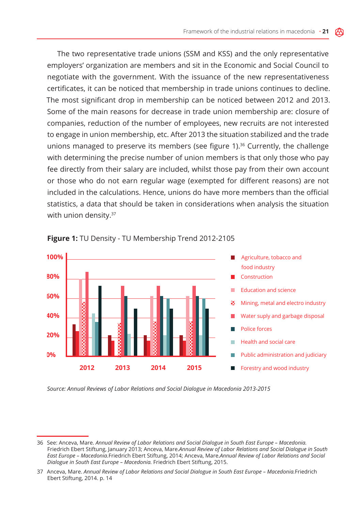The two representative trade unions (SSM and KSS) and the only representative employers' organization are members and sit in the Economic and Social Council to negotiate with the government. With the issuance of the new representativeness certificates, it can be noticed that membership in trade unions continues to decline. The most significant drop in membership can be noticed between 2012 and 2013. Some of the main reasons for decrease in trade union membership are: closure of companies, reduction of the number of employees, new recruits are not interested to engage in union membership, etc. After 2013 the situation stabilized and the trade unions managed to preserve its members (see figure 1). $36$  Currently, the challenge with determining the precise number of union members is that only those who pay fee directly from their salary are included, whilst those pay from their own account or those who do not earn regular wage (exempted for different reasons) are not included in the calculations. Hence, unions do have more members than the official statistics, a data that should be taken in considerations when analysis the situation with union density.<sup>37</sup>





*Source: Annual Reviews of Labor Relations and Social Dialogue in Macedonia 2013-2015*

<sup>36</sup> See: Anceva, Mare. *Annual Review of Labor Relations and Social Dialogue in South East Europe – Macedonia.* Friedrich Ebert Stiftung, January 2013; Anceva, Mare.*Annual Review of Labor Relations and Social Dialogue in South East Europe – Macedonia.*Friedrich Ebert Stiftung, 2014; Anceva, Mare.*Annual Review of Labor Relations and Social Dialogue in South East Europe – Macedonia.* Friedrich Ebert Stiftung, 2015.

<sup>37</sup> Anceva, Mare. *Annual Review of Labor Relations and Social Dialogue in South East Europe – Macedonia.*Friedrich Ebert Stiftung, 2014. p. 14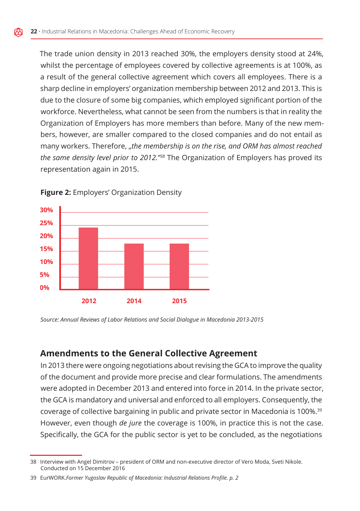The trade union density in 2013 reached 30%, the employers density stood at 24%, whilst the percentage of employees covered by collective agreements is at 100%, as a result of the general collective agreement which covers all employees. There is a sharp decline in employers' organization membership between 2012 and 2013. This is due to the closure of some big companies, which employed significant portion of the workforce. Nevertheless, what cannot be seen from the numbers is that in reality the Organization of Employers has more members than before. Many of the new members, however, are smaller compared to the closed companies and do not entail as many workers. Therefore, "the membership is on the rise, and ORM has almost reached *the same density level prior to 2012."38* The Organization of Employers has proved its representation again in 2015.



**Figure 2:** Employers' Organization Density

*Source: Annual Reviews of Labor Relations and Social Dialogue in Macedonia 2013-2015*

#### **Amendments to the General Collective Agreement**

In 2013 there were ongoing negotiations about revising the GCA to improve the quality of the document and provide more precise and clear formulations. The amendments were adopted in December 2013 and entered into force in 2014. In the private sector, the GCA is mandatory and universal and enforced to all employers. Consequently, the coverage of collective bargaining in public and private sector in Macedonia is 100%.39 However, even though *de jure* the coverage is 100%, in practice this is not the case. Specifically, the GCA for the public sector is yet to be concluded, as the negotiations

<sup>38</sup> Interview with Angel Dimitrov – president of ORM and non-executive director of Vero Moda, Sveti Nikole. Conducted on 15 December 2016

<sup>39</sup> EurWORK.*Former Yugoslav Republic of Macedonia: Industrial Relations Profile. p. 2*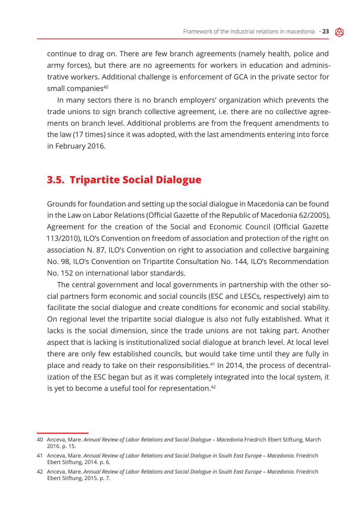continue to drag on. There are few branch agreements (namely health, police and army forces), but there are no agreements for workers in education and administrative workers. Additional challenge is enforcement of GCA in the private sector for small companies<sup>40</sup>

In many sectors there is no branch employers' organization which prevents the trade unions to sign branch collective agreement, i.e. there are no collective agreements on branch level. Additional problems are from the frequent amendments to the law (17 times) since it was adopted, with the last amendments entering into force in February 2016.

#### **3.5. Tripartite Social Dialogue**

Grounds for foundation and setting up the social dialogue in Macedonia can be found in the Law on Labor Relations (Official Gazette of the Republic of Macedonia 62/2005), Agreement for the creation of the Social and Economic Council (Official Gazette 113/2010), ILO's Convention on freedom of association and protection of the right on association N. 87, ILO's Convention on right to association and collective bargaining No. 98, ILO's Convention on Tripartite Consultation No. 144, ILO's Recommendation No. 152 on international labor standards.

The central government and local governments in partnership with the other social partners form economic and social councils (ESC and LESCs, respectively) aim to facilitate the social dialogue and create conditions for economic and social stability. On regional level the tripartite social dialogue is also not fully established. What it lacks is the social dimension, since the trade unions are not taking part. Another aspect that is lacking is institutionalized social dialogue at branch level. At local level there are only few established councils, but would take time until they are fully in place and ready to take on their responsibilities.41 In 2014, the process of decentralization of the ESC began but as it was completely integrated into the local system, it is yet to become a useful tool for representation.<sup>42</sup>

<sup>40</sup> Anceva, Mare. *Annual Review of Labor Relations and Social Dialogue – Macedonia.*Friedrich Ebert Stiftung, March 2016. p. 15.

<sup>41</sup> Anceva, Mare. *Annual Review of Labor Relations and Social Dialogue in South East Europe – Macedonia.* Friedrich Ebert Stiftung, 2014. p. 6.

<sup>42</sup> Anceva, Mare. *Annual Review of Labor Relations and Social Dialogue in South East Europe – Macedonia.* Friedrich Ebert Stiftung, 2015. p. 7.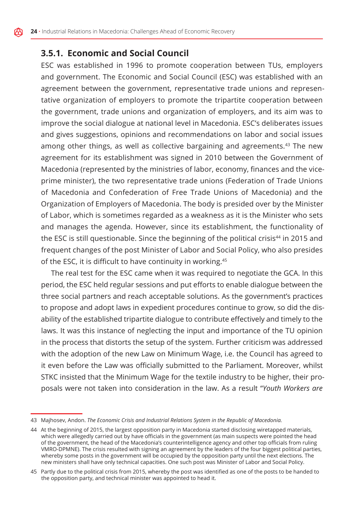#### **3.5.1. Economic and Social Council**

ESC was established in 1996 to promote cooperation between TUs, employers and government. The Economic and Social Council (ESC) was established with an agreement between the government, representative trade unions and representative organization of employers to promote the tripartite cooperation between the government, trade unions and organization of employers, and its aim was to improve the social dialogue at national level in Macedonia. ESC's deliberates issues and gives suggestions, opinions and recommendations on labor and social issues among other things, as well as collective bargaining and agreements.43 The new agreement for its establishment was signed in 2010 between the Government of Macedonia (represented by the ministries of labor, economy, finances and the viceprime minister), the two representative trade unions (Federation of Trade Unions of Macedonia and Confederation of Free Trade Unions of Macedonia) and the Organization of Employers of Macedonia. The body is presided over by the Minister of Labor, which is sometimes regarded as a weakness as it is the Minister who sets and manages the agenda. However, since its establishment, the functionality of the ESC is still questionable. Since the beginning of the political crisis<sup>44</sup> in 2015 and frequent changes of the post Minister of Labor and Social Policy, who also presides of the ESC, it is difficult to have continuity in working.<sup>45</sup>

The real test for the ESC came when it was required to negotiate the GCA. In this period, the ESC held regular sessions and put efforts to enable dialogue between the three social partners and reach acceptable solutions. As the government's practices to propose and adopt laws in expedient procedures continue to grow, so did the disability of the established tripartite dialogue to contribute effectively and timely to the laws. It was this instance of neglecting the input and importance of the TU opinion in the process that distorts the setup of the system. Further criticism was addressed with the adoption of the new Law on Minimum Wage, i.e. the Council has agreed to it even before the Law was officially submitted to the Parliament. Moreover, whilst STKC insisted that the Minimum Wage for the textile industry to be higher, their proposals were not taken into consideration in the law. As a result "*Youth Workers are* 

<sup>43</sup> Majhosev, Andon. *The Economic Crisis and Industrial Relations System in the Republic of Macedonia.*

<sup>44</sup> At the beginning of 2015, the largest opposition party in Macedonia started disclosing wiretapped materials, which were allegedly carried out by have officials in the government (as main suspects were pointed the head of the government, the head of the Macedonia's counterintelligence agency and other top officials from ruling VMRO-DPMNE). The crisis resulted with signing an agreement by the leaders of the four biggest political parties, whereby some posts in the government will be occupied by the opposition party until the next elections. The new ministers shall have only technical capacities. One such post was Minister of Labor and Social Policy.

<sup>45</sup> Partly due to the political crisis from 2015, whereby the post was identified as one of the posts to be handed to the opposition party, and technical minister was appointed to head it.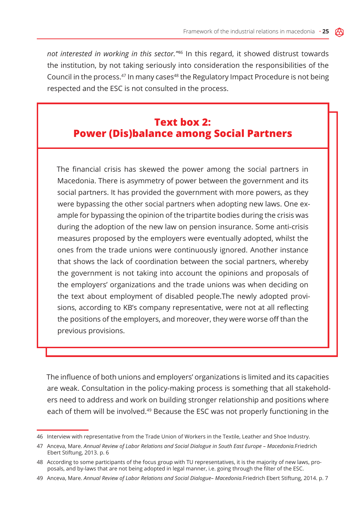*not interested in working in this sector."*46 In this regard, it showed distrust towards the institution, by not taking seriously into consideration the responsibilities of the Council in the process. $47$  In many cases $48$  the Regulatory Impact Procedure is not being respected and the ESC is not consulted in the process.

### **Text box 2: Power (Dis)balance among Social Partners**

The financial crisis has skewed the power among the social partners in Macedonia. There is asymmetry of power between the government and its social partners. It has provided the government with more powers, as they were bypassing the other social partners when adopting new laws. One example for bypassing the opinion of the tripartite bodies during the crisis was during the adoption of the new law on pension insurance. Some anti-crisis measures proposed by the employers were eventually adopted, whilst the ones from the trade unions were continuously ignored. Another instance that shows the lack of coordination between the social partners, whereby the government is not taking into account the opinions and proposals of the employers' organizations and the trade unions was when deciding on the text about employment of disabled people.The newly adopted provisions, according to KB's company representative, were not at all reflecting the positions of the employers, and moreover, they were worse off than the previous provisions.

The influence of both unions and employers' organizations is limited and its capacities are weak. Consultation in the policy-making process is something that all stakeholders need to address and work on building stronger relationship and positions where each of them will be involved.<sup>49</sup> Because the ESC was not properly functioning in the

<sup>46</sup> Interview with representative from the Trade Union of Workers in the Textile, Leather and Shoe Industry.

<sup>47</sup> Anceva, Mare. *Annual Review of Labor Relations and Social Dialogue in South East Europe – Macedonia.*Friedrich Ebert Stiftung, 2013. p. 6

<sup>48</sup> According to some participants of the focus group with TU representatives, it is the majority of new laws, proposals, and by-laws that are not being adopted in legal manner, i.e. going through the filter of the ESC.

<sup>49</sup> Anceva, Mare. *Annual Review of Labor Relations and Social Dialogue– Macedonia.*Friedrich Ebert Stiftung, 2014. p. 7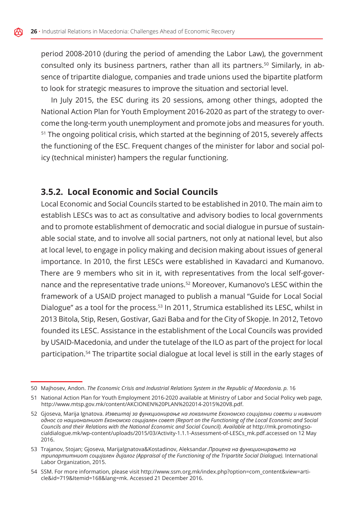period 2008-2010 (during the period of amending the Labor Law), the government consulted only its business partners, rather than all its partners.<sup>50</sup> Similarly, in absence of tripartite dialogue, companies and trade unions used the bipartite platform to look for strategic measures to improve the situation and sectorial level.

In July 2015, the ESC during its 20 sessions, among other things, adopted the National Action Plan for Youth Employment 2016-2020 as part of the strategy to overcome the long-term youth unemployment and promote jobs and measures for youth. <sup>51</sup> The ongoing political crisis, which started at the beginning of 2015, severely affects the functioning of the ESC. Frequent changes of the minister for labor and social policy (technical minister) hampers the regular functioning.

#### **3.5.2. Local Economic and Social Councils**

Local Economic and Social Councils started to be established in 2010. The main aim to establish LESCs was to act as consultative and advisory bodies to local governments and to promote establishment of democratic and social dialogue in pursue of sustainable social state, and to involve all social partners, not only at national level, but also at local level, to engage in policy making and decision making about issues of general importance. In 2010, the first LESCs were established in Kavadarci and Kumanovo. There are 9 members who sit in it, with representatives from the local self-governance and the representative trade unions.52 Moreover, Kumanovo's LESC within the framework of a USAID project managed to publish a manual "Guide for Local Social Dialogue" as a tool for the process.<sup>53</sup> In 2011, Strumica established its LESC, whilst in 2013 Bitola, Stip, Resen, Gostivar, Gazi Baba and for the City of Skopje. In 2012, Tetovo founded its LESC. Assistance in the establishment of the Local Councils was provided by USAID-Macedonia, and under the tutelage of the ILO as part of the project for local participation.54 The tripartite social dialogue at local level is still in the early stages of

<sup>50</sup> Majhosev, Andon. *The Economic Crisis and Industrial Relations System in the Republic of Macedonia. p.* 16

<sup>51</sup> National Action Plan for Youth Employment 2016-2020 available at Ministry of Labor and Social Policy web page, http://www.mtsp.gov.mk/content/AKCIONEN%20PLAN%202014-2015%20V8.pdf.

<sup>52</sup> Gjoseva, Marija Ignatova. *Извештај за функционирање на локалните Економско социјални совети и нивниот однос со националниот Економско социјален совет (Report on the Functioning of the Local Economic and Social Councils and their Relations with the National Economic and Social Council). Available at* http://mk.promotingsocialdialogue.mk/wp-content/uploads/2015/03/Activity-1.1.1-Assessment-of-LESCs\_mk.pdf.accessed on 12 May 2016.

<sup>53</sup> Trajanov, Stojan; Gjoseva, MarijaIgnatova&Kostadinov, Aleksandar.*Процена на функционирањето на трипартитниот социјален дијалог (Appraisal of the Functioning of the Tripartite Social Dialogue).* International Labor Organization, 2015.

<sup>54</sup> SSM. For more information, please visit http://www.ssm.org.mk/index.php?option=com\_content&view=article&id=719&Itemid=168&lang=mk. Accessed 21 December 2016.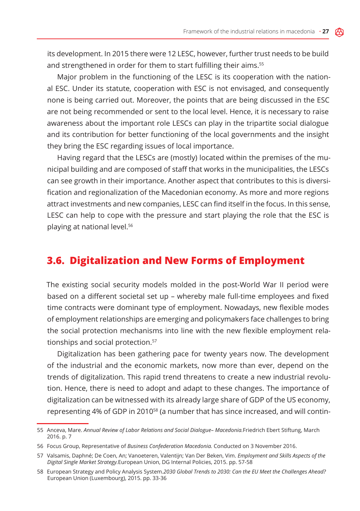its development. In 2015 there were 12 LESC, however, further trust needs to be build and strengthened in order for them to start fulfilling their aims.<sup>55</sup>

Major problem in the functioning of the LESC is its cooperation with the national ESC. Under its statute, cooperation with ESC is not envisaged, and consequently none is being carried out. Moreover, the points that are being discussed in the ESC are not being recommended or sent to the local level. Hence, it is necessary to raise awareness about the important role LESCs can play in the tripartite social dialogue and its contribution for better functioning of the local governments and the insight they bring the ESC regarding issues of local importance.

Having regard that the LESCs are (mostly) located within the premises of the municipal building and are composed of staff that works in the municipalities, the LESCs can see growth in their importance. Another aspect that contributes to this is diversification and regionalization of the Macedonian economy. As more and more regions attract investments and new companies, LESC can find itself in the focus. In this sense, LESC can help to cope with the pressure and start playing the role that the ESC is playing at national level.56

### **3.6. Digitalization and New Forms of Employment**

The existing social security models molded in the post-World War II period were based on a different societal set up – whereby male full-time employees and fixed time contracts were dominant type of employment. Nowadays, new flexible modes of employment relationships are emerging and policymakers face challenges to bring the social protection mechanisms into line with the new flexible employment relationships and social protection.<sup>57</sup>

Digitalization has been gathering pace for twenty years now. The development of the industrial and the economic markets, now more than ever, depend on the trends of digitalization. This rapid trend threatens to create a new industrial revolution. Hence, there is need to adopt and adapt to these changes. The importance of digitalization can be witnessed with its already large share of GDP of the US economy, representing 4% of GDP in 2010<sup>58</sup> (a number that has since increased, and will contin-

<sup>55</sup> Anceva, Mare. *Annual Review of Labor Relations and Social Dialogue– Macedonia.*Friedrich Ebert Stiftung, March 2016. p. 7

<sup>56</sup> Focus Group, Representative of *Business Confederation Macedonia.* Conducted on 3 November 2016.

<sup>57</sup> Valsamis, Daphné; De Coen, An; Vanoeteren, Valentijn; Van Der Beken, Vim. *Employment and Skills Aspects of the Digital Single Market Strategy.*European Union, DG Internal Policies, 2015. pp. 57-58

<sup>58</sup> European Strategy and Policy Analysis System.*2030 Global Trends to 2030: Can the EU Meet the Challenges Ahead?*  European Union (Luxembourg), 2015. pp. 33-36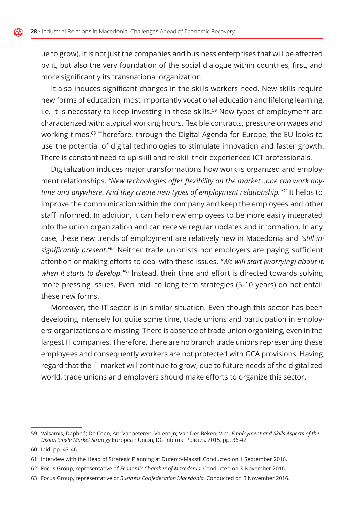ue to grow). It is not just the companies and business enterprises that will be affected by it, but also the very foundation of the social dialogue within countries, first, and more significantly its transnational organization.

It also induces significant changes in the skills workers need. New skills require new forms of education, most importantly vocational education and lifelong learning, i.e. it is necessary to keep investing in these skills.<sup>59</sup> New types of employment are characterized with: atypical working hours, flexible contracts, pressure on wages and working times.<sup>60</sup> Therefore, through the Digital Agenda for Europe, the EU looks to use the potential of digital technologies to stimulate innovation and faster growth. There is constant need to up-skill and re-skill their experienced ICT professionals.

Digitalization induces major transformations how work is organized and employment relationships. *"New technologies offer flexibility on the market…one can work anytime and anywhere. And they create new types of employment relationship."61* It helps to improve the communication within the company and keep the employees and other staff informed. In addition, it can help new employees to be more easily integrated into the union organization and can receive regular updates and information. In any case, these new trends of employment are relatively new in Macedonia and "*still insignificantly present."62* Neither trade unionists nor employers are paying sufficient attention or making efforts to deal with these issues. *"We will start (worrying) about it, when it starts to develop."63* Instead, their time and effort is directed towards solving more pressing issues. Even mid- to long-term strategies (5-10 years) do not entail these new forms.

Moreover, the IT sector is in similar situation. Even though this sector has been developing intensely for quite some time, trade unions and participation in employers' organizations are missing. There is absence of trade union organizing, even in the largest IT companies. Therefore, there are no branch trade unions representing these employees and consequently workers are not protected with GCA provisions. Having regard that the IT market will continue to grow, due to future needs of the digitalized world, trade unions and employers should make efforts to organize this sector.

<sup>59</sup> Valsamis, Daphné; De Coen, An; Vanoeteren, Valentijn; Van Der Beken, Vim. *Employment and Skills Aspects of the Digital Single Market Strategy.*European Union, DG Internal Policies, 2015. pp. 36-42

<sup>60</sup> Ibid. pp. 43-46

<sup>61</sup> Interview with the Head of Strategic Planning at Duferco-Makstil.Conducted on 1 September 2016.

<sup>62</sup> Focus Group, representative of *Economic Chamber of Macedonia.* Conducted on 3 November 2016.

<sup>63</sup> Focus Group, representative of *Business Confederation Macedonia.* Conducted on 3 November 2016.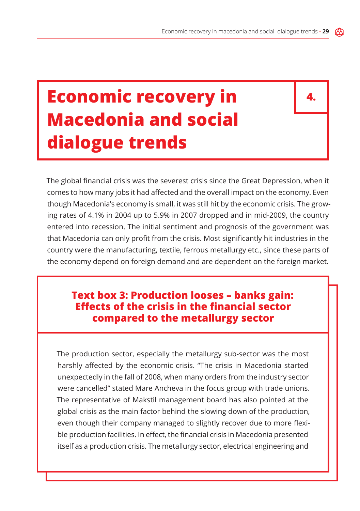## **Economic recovery in Macedonia and social dialogue trends**

**4.**

The global financial crisis was the severest crisis since the Great Depression, when it comes to how many jobs it had affected and the overall impact on the economy. Even though Macedonia's economy is small, it was still hit by the economic crisis. The growing rates of 4.1% in 2004 up to 5.9% in 2007 dropped and in mid-2009, the country entered into recession. The initial sentiment and prognosis of the government was that Macedonia can only profit from the crisis. Most significantly hit industries in the country were the manufacturing, textile, ferrous metallurgy etc., since these parts of the economy depend on foreign demand and are dependent on the foreign market.

## **Text box 3: Production looses – banks gain: Effects of the crisis in the financial sector compared to the metallurgy sector**

The production sector, especially the metallurgy sub-sector was the most harshly affected by the economic crisis. "The crisis in Macedonia started unexpectedly in the fall of 2008, when many orders from the industry sector were cancelled" stated Mare Ancheva in the focus group with trade unions. The representative of Makstil management board has also pointed at the global crisis as the main factor behind the slowing down of the production, even though their company managed to slightly recover due to more flexible production facilities. In effect, the financial crisis in Macedonia presented itself as a production crisis. The metallurgy sector, electrical engineering and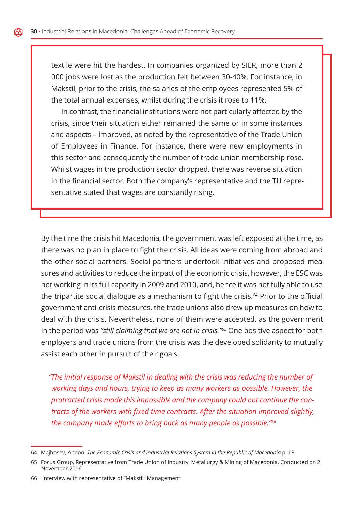textile were hit the hardest. In companies organized by SIER, more than 2 000 jobs were lost as the production felt between 30-40%. For instance, in Makstil, prior to the crisis, the salaries of the employees represented 5% of the total annual expenses, whilst during the crisis it rose to 11%.

In contrast, the financial institutions were not particularly affected by the crisis, since their situation either remained the same or in some instances and aspects – improved, as noted by the representative of the Trade Union of Employees in Finance. For instance, there were new employments in this sector and consequently the number of trade union membership rose. Whilst wages in the production sector dropped, there was reverse situation in the financial sector. Both the company's representative and the TU representative stated that wages are constantly rising.

By the time the crisis hit Macedonia, the government was left exposed at the time, as there was no plan in place to fight the crisis. All ideas were coming from abroad and the other social partners. Social partners undertook initiatives and proposed measures and activities to reduce the impact of the economic crisis, however, the ESC was not working in its full capacity in 2009 and 2010, and, hence it was not fully able to use the tripartite social dialogue as a mechanism to fight the crisis.<sup>64</sup> Prior to the official government anti-crisis measures, the trade unions also drew up measures on how to deal with the crisis. Nevertheless, none of them were accepted, as the government in the period was *"still claiming that we are not in crisis."65* One positive aspect for both employers and trade unions from the crisis was the developed solidarity to mutually assist each other in pursuit of their goals.

*"The initial response of Makstil in dealing with the crisis was reducing the number of working days and hours, trying to keep as many workers as possible. However, the protracted crisis made this impossible and the company could not continue the contracts of the workers with fixed time contracts. After the situation improved slightly, the company made efforts to bring back as many people as possible."66*

<sup>64</sup> Majhosev, Andon. *The Economic Crisis and Industrial Relations System in the Republic of Macedonia.*p. 18

<sup>65</sup> Focus Group, Representative from Trade Union of Industry, Metallurgy & Mining of Macedonia. Conducted on 2 November 2016.

<sup>66</sup> Interview with representative of "Makstil" Management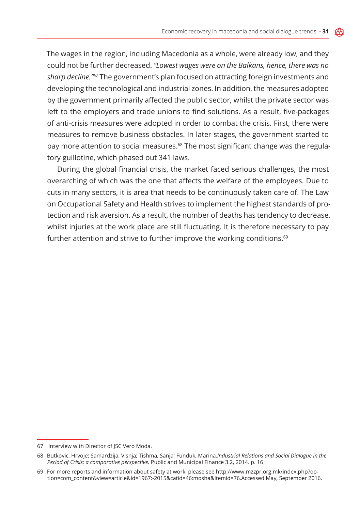The wages in the region, including Macedonia as a whole, were already low, and they could not be further decreased. *"Lowest wages were on the Balkans, hence, there was no sharp decline."67* The government's plan focused on attracting foreign investments and developing the technological and industrial zones. In addition, the measures adopted by the government primarily affected the public sector, whilst the private sector was left to the employers and trade unions to find solutions. As a result, five-packages of anti-crisis measures were adopted in order to combat the crisis. First, there were measures to remove business obstacles. In later stages, the government started to pay more attention to social measures.<sup>68</sup> The most significant change was the regulatory guillotine, which phased out 341 laws.

During the global financial crisis, the market faced serious challenges, the most overarching of which was the one that affects the welfare of the employees. Due to cuts in many sectors, it is area that needs to be continuously taken care of. The Law on Occupational Safety and Health strives to implement the highest standards of protection and risk aversion. As a result, the number of deaths has tendency to decrease, whilst injuries at the work place are still fluctuating. It is therefore necessary to pay further attention and strive to further improve the working conditions.<sup>69</sup>

<sup>67</sup> Interview with Director of JSC Vero Moda.

<sup>68</sup> Butkovic, Hrvoje; Samardzija, Visnja; Tishma, Sanja; Funduk, Marina.*Industrial Relations and Social Dialogue in the Period of Crisis: a comparative perspective.* Public and Municipal Finance 3.2, 2014. p. 16

<sup>69</sup> For more reports and information about safety at work, please see http://www.mzzpr.org.mk/index.php?option=com\_content&view=article&id=1967:-2015&catid=46:mosha&Itemid=76.Accessed May, September 2016.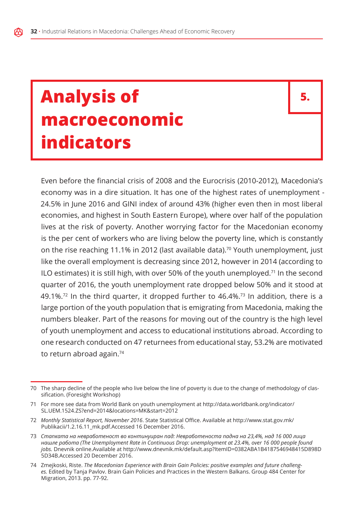## **Analysis of macroeconomic indicators**

**5.**

Even before the financial crisis of 2008 and the Eurocrisis (2010-2012), Macedonia's economy was in a dire situation. It has one of the highest rates of unemployment - 24.5% in June 2016 and GINI index of around 43% (higher even then in most liberal economies, and highest in South Eastern Europe), where over half of the population lives at the risk of poverty. Another worrying factor for the Macedonian economy is the per cent of workers who are living below the poverty line, which is constantly on the rise reaching 11.1% in 2012 (last available data).<sup>70</sup> Youth unemployment, just like the overall employment is decreasing since 2012, however in 2014 (according to ILO estimates) it is still high, with over 50% of the youth unemployed.<sup>71</sup> In the second quarter of 2016, the youth unemployment rate dropped below 50% and it stood at 49.1%.<sup>72</sup> In the third quarter, it dropped further to 46.4%.<sup>73</sup> In addition, there is a large portion of the youth population that is emigrating from Macedonia, making the numbers bleaker. Part of the reasons for moving out of the country is the high level of youth unemployment and access to educational institutions abroad. According to one research conducted on 47 returnees from educational stay, 53.2% are motivated to return abroad again.74

<sup>70</sup> The sharp decline of the people who live below the line of poverty is due to the change of methodology of classification. (Foresight Workshop)

<sup>71</sup> For more see data from World Bank on youth unemployment at http://data.worldbank.org/indicator/ SL.UEM.1524.ZS?end=2014&locations=MK&start=2012

<sup>72</sup> *Monthly Statistical Report, November 2016*. State Statistical Office. Available at http://www.stat.gov.mk/ Publikacii/1.2.16.11\_mk.pdf.Accessed 16 December 2016.

<sup>73</sup> *Стапката на невработеност во континуиран пад: Невработеноста падна на 23,4%, над 16 000 лица нашле работа (The Unemployment Rate in Continuous Drop: unemployment at 23.4%, over 16 000 people found jobs.* Dnevnik online.Available at http://www.dnevnik.mk/default.asp?ItemID=0382ABA1B4187546948415D898D 5D34B.Accessed 20 December 2016.

<sup>74</sup> Zmejkoski, Riste. *The Macedonian Experience with Brain Gain Policies: positive examples and future challenges.* Edited by Tanja Pavlov. Brain Gain Policies and Practices in the Western Balkans. Group 484 Center for Migration, 2013. pp. 77-92.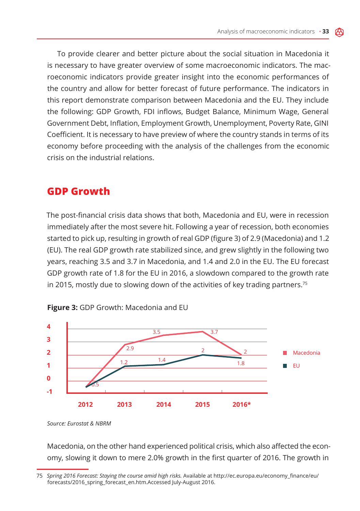To provide clearer and better picture about the social situation in Macedonia it is necessary to have greater overview of some macroeconomic indicators. The macroeconomic indicators provide greater insight into the economic performances of the country and allow for better forecast of future performance. The indicators in this report demonstrate comparison between Macedonia and the EU. They include the following: GDP Growth, FDI inflows, Budget Balance, Minimum Wage, General Government Debt, Inflation, Employment Growth, Unemployment, Poverty Rate, GINI Coefficient. It is necessary to have preview of where the country stands in terms of its economy before proceeding with the analysis of the challenges from the economic crisis on the industrial relations.

### **GDP Growth**

The post-financial crisis data shows that both, Macedonia and EU, were in recession immediately after the most severe hit. Following a year of recession, both economies started to pick up, resulting in growth of real GDP (figure 3) of 2.9 (Macedonia) and 1.2 (EU). The real GDP growth rate stabilized since, and grew slightly in the following two years, reaching 3.5 and 3.7 in Macedonia, and 1.4 and 2.0 in the EU. The EU forecast GDP growth rate of 1.8 for the EU in 2016, a slowdown compared to the growth rate in 2015, mostly due to slowing down of the activities of key trading partners.<sup>75</sup>





Macedonia, on the other hand experienced political crisis, which also affected the economy, slowing it down to mere 2.0% growth in the first quarter of 2016. The growth in

*Source: Eurostat & NBRM*

<sup>75</sup> *Spring 2016 Forecast: Staying the course amid high risks.* Available at http://ec.europa.eu/economy\_finance/eu/ forecasts/2016\_spring\_forecast\_en.htm.Accessed July-August 2016.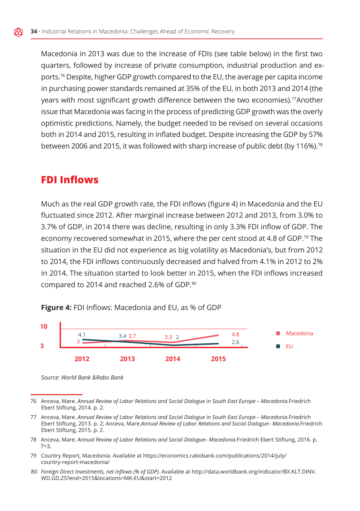Macedonia in 2013 was due to the increase of FDIs (see table below) in the first two quarters, followed by increase of private consumption, industrial production and exports.76 Despite, higher GDP growth compared to the EU, the average per capita income in purchasing power standards remained at 35% of the EU, in both 2013 and 2014 (the years with most significant growth difference between the two economies).<sup>77</sup>Another issue that Macedonia was facing in the process of predicting GDP growth was the overly optimistic predictions. Namely, the budget needed to be revised on several occasions both in 2014 and 2015, resulting in inflated budget. Despite increasing the GDP by 57% between 2006 and 2015, it was followed with sharp increase of public debt (by 116%).78

### **FDI Inflows**

Much as the real GDP growth rate, the FDI inflows (figure 4) in Macedonia and the EU fluctuated since 2012. After marginal increase between 2012 and 2013, from 3.0% to 3.7% of GDP, in 2014 there was decline, resulting in only 3.3% FDI inflow of GDP. The economy recovered somewhat in 2015, where the per cent stood at 4.8 of GDP.79 The situation in the EU did not experience as big volatility as Macedonia's, but from 2012 to 2014, the FDI inflows continuously decreased and halved from 4.1% in 2012 to 2% in 2014. The situation started to look better in 2015, when the FDI inflows increased compared to 2014 and reached 2.6% of GDP.80

**Figure 4:** FDI Inflows: Macedonia and EU, as % of GDP



*Source: World Bank &Rabo Bank*

- 79 Country Report, Macedonia. Available at https://economics.rabobank.com/publications/2014/july/ country-report-macedonia/
- 80 *Foreign Direct Investments, net inflows (% of GDP).* Available at http://data.worldbank.org/indicator/BX.KLT.DINV. WD.GD.ZS?end=2015&locations=MK-EU&start=2012

<sup>76</sup> Anceva, Mare. *Annual Review of Labor Relations and Social Dialogue in South East Europe – Macedonia.*Friedrich Ebert Stiftung, 2014. p. 2.

<sup>77</sup> Anceva, Mare. *Annual Review of Labor Relations and Social Dialogue in South East Europe – Macedonia.*Friedrich Ebert Stiftung, 2013. p. 2; Anceva, Mare.*Annual Review of Labor Relations and Social Dialogue– Macedonia.*Friedrich Ebert Stiftung, 2015. p. 2.

<sup>78</sup> Anceva, Mare. *Annual Review of Labor Relations and Social Dialogue– Macedonia.*Friedrich Ebert Stiftung, 2016. p. 7=3,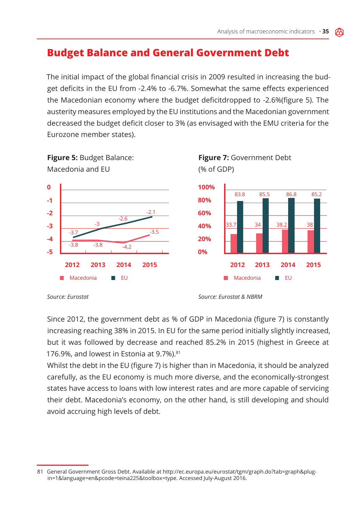## **Budget Balance and General Government Debt**

The initial impact of the global financial crisis in 2009 resulted in increasing the budget deficits in the EU from -2.4% to -6.7%. Somewhat the same effects experienced the Macedonian economy where the budget deficitdropped to -2.6%(figure 5). The austerity measures employed by the EU institutions and the Macedonian government decreased the budget deficit closer to 3% (as envisaged with the EMU criteria for the Eurozone member states).



**Figure 5:** Budget Balance: Macedonia and EU

**Figure 7:** Government Debt (% of GDP)

Since 2012, the government debt as % of GDP in Macedonia (figure 7) is constantly increasing reaching 38% in 2015. In EU for the same period initially slightly increased, but it was followed by decrease and reached 85.2% in 2015 (highest in Greece at 176.9%, and lowest in Estonia at 9.7%).<sup>81</sup>

Whilst the debt in the EU (figure 7) is higher than in Macedonia, it should be analyzed carefully, as the EU economy is much more diverse, and the economically-strongest states have access to loans with low interest rates and are more capable of servicing their debt. Macedonia's economy, on the other hand, is still developing and should avoid accruing high levels of debt.

*Source: Eurostat Source: Eurostat & NBRM*

<sup>81</sup> General Government Gross Debt. Available at http://ec.europa.eu/eurostat/tgm/graph.do?tab=graph&plugin=1&language=en&pcode=teina225&toolbox=type. Accessed July-August 2016.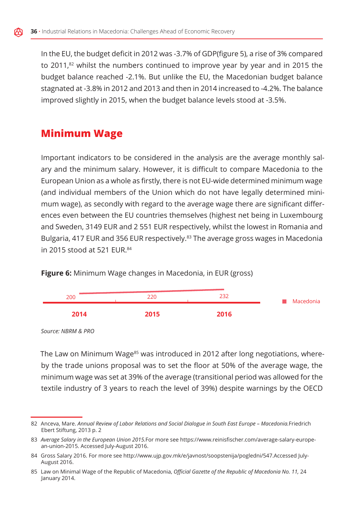In the EU, the budget deficit in 2012 was -3.7% of GDP(figure 5), a rise of 3% compared to 2011,<sup>82</sup> whilst the numbers continued to improve year by year and in 2015 the budget balance reached -2.1%. But unlike the EU, the Macedonian budget balance stagnated at -3.8% in 2012 and 2013 and then in 2014 increased to -4.2%. The balance improved slightly in 2015, when the budget balance levels stood at -3.5%.

## **Minimum Wage**

Important indicators to be considered in the analysis are the average monthly salary and the minimum salary. However, it is difficult to compare Macedonia to the European Union as a whole as firstly, there is not EU-wide determined minimum wage (and individual members of the Union which do not have legally determined minimum wage), as secondly with regard to the average wage there are significant differences even between the EU countries themselves (highest net being in Luxembourg and Sweden, 3149 EUR and 2 551 EUR respectively, whilst the lowest in Romania and Bulgaria, 417 EUR and 356 EUR respectively.<sup>83</sup> The average gross wages in Macedonia in 2015 stood at 521 EUR.84



**Figure 6:** Minimum Wage changes in Macedonia, in EUR (gross)

The Law on Minimum Wage<sup>85</sup> was introduced in 2012 after long negotiations, whereby the trade unions proposal was to set the floor at 50% of the average wage, the minimum wage was set at 39% of the average (transitional period was allowed for the textile industry of 3 years to reach the level of 39%) despite warnings by the OECD

*Source: NBRM & PRO*

<sup>82</sup> Anceva, Mare. *Annual Review of Labor Relations and Social Dialogue in South East Europe – Macedonia.*Friedrich Ebert Stiftung, 2013 p. 2

<sup>83</sup> *Average Salary in the European Union 2015.*For more see https://www.reinisfischer.com/average-salary-european-union-2015. Accessed July-August 2016.

<sup>84</sup> Gross Salary 2016. For more see http://www.ujp.gov.mk/e/javnost/soopstenija/pogledni/547.Accessed July-August 2016.

<sup>85</sup> Law on Minimal Wage of the Republic of Macedonia, *Official Gazette of the Republic of Macedonia No. 11,* 24 January 2014.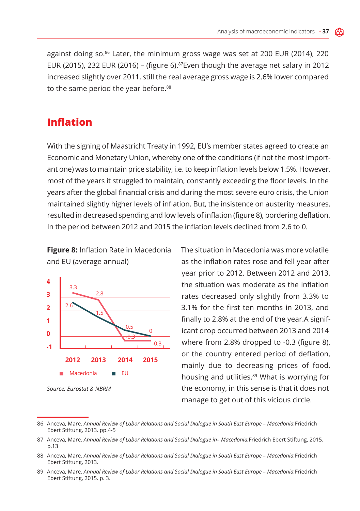against doing so. $86$  Later, the minimum gross wage was set at 200 EUR (2014), 220 EUR (2015), 232 EUR (2016) – (figure 6).<sup>87</sup>Even though the average net salary in 2012 increased slightly over 2011, still the real average gross wage is 2.6% lower compared to the same period the year before.<sup>88</sup>

### **Inflation**

With the signing of Maastricht Treaty in 1992, EU's member states agreed to create an Economic and Monetary Union, whereby one of the conditions (if not the most important one) was to maintain price stability, i.e. to keep inflation levels below 1.5%. However, most of the years it struggled to maintain, constantly exceeding the floor levels. In the years after the global financial crisis and during the most severe euro crisis, the Union maintained slightly higher levels of inflation. But, the insistence on austerity measures, resulted in decreased spending and low levels of inflation (figure 8), bordering deflation. In the period between 2012 and 2015 the inflation levels declined from 2.6 to 0.

**Figure 8:** Inflation Rate in Macedonia and EU (average annual)



as the inflation rates rose and fell year after year prior to 2012. Between 2012 and 2013, the situation was moderate as the inflation rates decreased only slightly from 3.3% to 3.1% for the first ten months in 2013, and finally to 2.8% at the end of the year.A significant drop occurred between 2013 and 2014 where from 2.8% dropped to -0.3 (figure 8), or the country entered period of deflation, mainly due to decreasing prices of food, housing and utilities.<sup>89</sup> What is worrying for the economy, in this sense is that it does not manage to get out of this vicious circle.

The situation in Macedonia was more volatile

89 Anceva, Mare. *Annual Review of Labor Relations and Social Dialogue in South East Europe – Macedonia.*Friedrich Ebert Stiftung, 2015. p. 3.

<sup>86</sup> Anceva, Mare. *Annual Review of Labor Relations and Social Dialogue in South East Europe – Macedonia.*Friedrich Ebert Stiftung, 2013. pp.4-5

<sup>87</sup> Anceva, Mare. *Annual Review of Labor Relations and Social Dialogue in– Macedonia.*Friedrich Ebert Stiftung, 2015. p.13

<sup>88</sup> Anceva, Mare. *Annual Review of Labor Relations and Social Dialogue in South East Europe – Macedonia.*Friedrich Ebert Stiftung, 2013.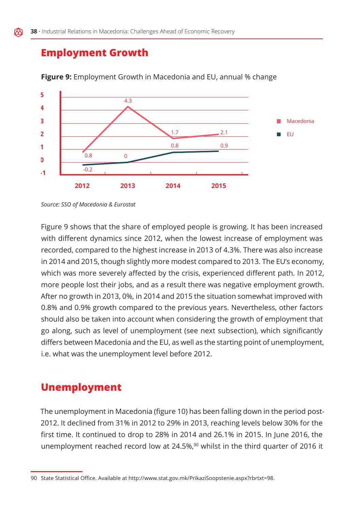## **Employment Growth**



**Figure 9:** Employment Growth in Macedonia and EU, annual % change

Figure 9 shows that the share of employed people is growing. It has been increased with different dynamics since 2012, when the lowest increase of employment was recorded, compared to the highest increase in 2013 of 4.3%. There was also increase in 2014 and 2015, though slightly more modest compared to 2013. The EU's economy, which was more severely affected by the crisis, experienced different path. In 2012, more people lost their jobs, and as a result there was negative employment growth. After no growth in 2013, 0%, in 2014 and 2015 the situation somewhat improved with 0.8% and 0.9% growth compared to the previous years. Nevertheless, other factors should also be taken into account when considering the growth of employment that go along, such as level of unemployment (see next subsection), which significantly differs between Macedonia and the EU, as well as the starting point of unemployment, i.e. what was the unemployment level before 2012.

### **Unemployment**

The unemployment in Macedonia (figure 10) has been falling down in the period post-2012. It declined from 31% in 2012 to 29% in 2013, reaching levels below 30% for the first time. It continued to drop to 28% in 2014 and 26.1% in 2015. In June 2016, the unemployment reached record low at 24.5%, $90$  whilst in the third quarter of 2016 it

*Source: SSO of Macedonia & Eurostat*

<sup>90</sup> State Statistical Office. Available at http://www.stat.gov.mk/PrikaziSoopstenie.aspx?rbrtxt=98.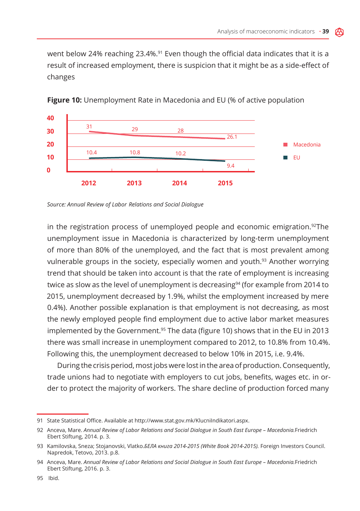went below 24% reaching 23.4%.<sup>91</sup> Even though the official data indicates that it is a result of increased employment, there is suspicion that it might be as a side-effect of changes



**Figure 10:** Unemployment Rate in Macedonia and EU (% of active population

*Source: Annual Review of Labor Relations and Social Dialogue*

in the registration process of unemployed people and economic emigration.<sup>92</sup>The unemployment issue in Macedonia is characterized by long-term unemployment of more than 80% of the unemployed, and the fact that is most prevalent among vulnerable groups in the society, especially women and youth.<sup>93</sup> Another worrying trend that should be taken into account is that the rate of employment is increasing twice as slow as the level of unemployment is decreasing<sup>94</sup> (for example from 2014 to 2015, unemployment decreased by 1.9%, whilst the employment increased by mere 0.4%). Another possible explanation is that employment is not decreasing, as most the newly employed people find employment due to active labor market measures implemented by the Government.95 The data (figure 10) shows that in the EU in 2013 there was small increase in unemployment compared to 2012, to 10.8% from 10.4%. Following this, the unemployment decreased to below 10% in 2015, i.e. 9.4%.

During the crisis period, most jobs were lost in the area of production. Consequently, trade unions had to negotiate with employers to cut jobs, benefits, wages etc. in order to protect the majority of workers. The share decline of production forced many

<sup>91</sup> State Statistical Office. Available at http://www.stat.gov.mk/KlucniIndikatori.aspx.

<sup>92</sup> Anceva, Mare. *Annual Review of Labor Relations and Social Dialogue in South East Europe – Macedonia.*Friedrich Ebert Stiftung, 2014. p. 3.

<sup>93</sup> Kamilovska, Sneza; Stojanovski, Vlatko.*БЕЛА книга 2014-2015 (White Book 2014-2015).* Foreign Investors Council. Napredok, Tetovo, 2013. p.8.

<sup>94</sup> Anceva, Mare. *Annual Review of Labor Relations and Social Dialogue in South East Europe – Macedonia.*Friedrich Ebert Stiftung, 2016. p. 3.

<sup>95</sup> Ibid.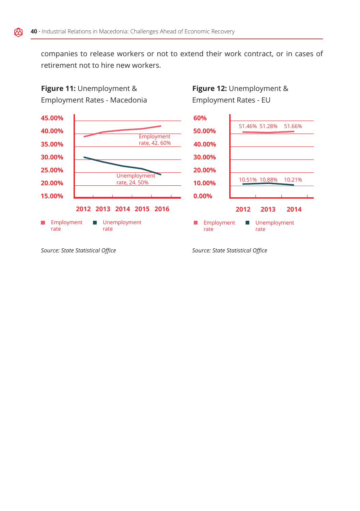companies to release workers or not to extend their work contract, or in cases of retirement not to hire new workers.

## **Figure 11:** Unemployment & Employment Rates - Macedonia

**Figure 12:** Unemployment & Employment Rates - EU



*Source: State Statistical Office*

*Source: State Statistical Office*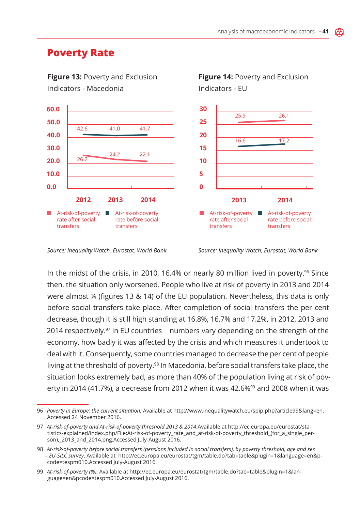### **Poverty Rate**



*Source: Inequality Watch, Eurostat, World Bank*

*Source: Inequality Watch, Eurostat, World Bank*

In the midst of the crisis, in 2010, 16.4% or nearly 80 million lived in poverty.<sup>96</sup> Since then, the situation only worsened. People who live at risk of poverty in 2013 and 2014 were almost ¼ (figures 13 & 14) of the EU population. Nevertheless, this data is only before social transfers take place. After completion of social transfers the per cent decrease, though it is still high standing at 16.8%, 16.7% and 17.2%, in 2012, 2013 and 2014 respectively.<sup>97</sup> In EU countries numbers vary depending on the strength of the economy, how badly it was affected by the crisis and which measures it undertook to deal with it. Consequently, some countries managed to decrease the per cent of people living at the threshold of poverty.<sup>98</sup> In Macedonia, before social transfers take place, the situation looks extremely bad, as more than 40% of the population living at risk of poverty in 2014 (41.7%), a decrease from 2012 when it was 42.6%<sup>99</sup> and 2008 when it was

<sup>96</sup> *Poverty in Europe: the current situation.* Available at http://www.inequalitywatch.eu/spip.php?article99&lang=en. Accessed 24 November 2016.

<sup>97</sup> *At-risk-of-poverty and At-risk-of-poverty threshold 2013 & 2014*.Available at http://ec.europa.eu/eurostat/statistics-explained/index.php/File:At-risk-of-poverty\_rate\_and\_at-risk-of-poverty\_threshold\_(for\_a\_single\_person),\_2013\_and\_2014.png.Accessed July-August 2016.

<sup>98</sup> *At-risk-of-poverty before social transfers (pensions included in social transfers), by poverty threshold, age and sex – EU-SILC survey*. Available at http://ec.europa.eu/eurostat/tgm/table.do?tab=table&plugin=1&language=en&pcode=tespm010.Accessed July-August 2016.

<sup>99</sup> *At-risk-of-poverty (%).* Available at http://ec.europa.eu/eurostat/tgm/table.do?tab=table&plugin=1&language=en&pcode=tespm010.Accessed July-August 2016.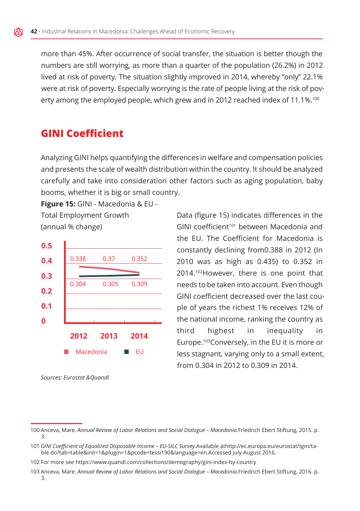more than 45%. After occurrence of social transfer, the situation is better though the numbers are still worrying, as more than a quarter of the population (26.2%) in 2012 lived at risk of poverty. The situation slightly improved in 2014, whereby "only" 22.1% were at risk of poverty. Especially worrying is the rate of people living at the risk of poverty among the employed people, which grew and in 2012 reached index of 11.1%.<sup>100</sup>

## **GINI Coefficient**

Analyzing GINI helps quantifying the differences in welfare and compensation policies and presents the scale of wealth distribution within the country. It should be analyzed carefully and take into consideration other factors such as aging population, baby booms, whether it is big or small country.

**Figure 15:** GINI - Macedonia & EU - Total Employment Growth (annual % change)



*Sources: Eurostat &Quandl*

Data (figure 15) indicates differences in the GINI coefficient<sup>101</sup> between Macedonia and the EU. The Coefficient for Macedonia is constantly declining from0.388 in 2012 (In 2010 was as high as 0.435) to 0.352 in 2014.102However, there is one point that needs to be taken into account. Even though GINI coefficient decreased over the last couple of years the richest 1% receives 12% of the national income, ranking the country as third highest in inequality in Europe.103Conversely, in the EU it is more or less stagnant, varying only to a small extent, from 0.304 in 2012 to 0.309 in 2014.

<sup>100</sup> Anceva, Mare. *Annual Review of Labor Relations and Social Dialogue – Macedonia.*Friedrich Ebert Stiftung, 2015. p. 3.

<sup>101</sup> *GINI Coefficient of Equalized Disposable Income – EU-SILC Survey.*Available athttp://ec.europa.eu/eurostat/tgm/table.do?tab=table&init=1&plugin=1&pcode=tessi190&language=en.Accessed July-August 2016.

<sup>102</sup> For more see https://www.quandl.com/collections/demography/gini-index-by-country

<sup>103</sup> Anceva, Mare. *Annual Review of Labor Relations and Social Dialogue – Macedonia.*Friedrich Ebert Stiftung, 2016. p. 3.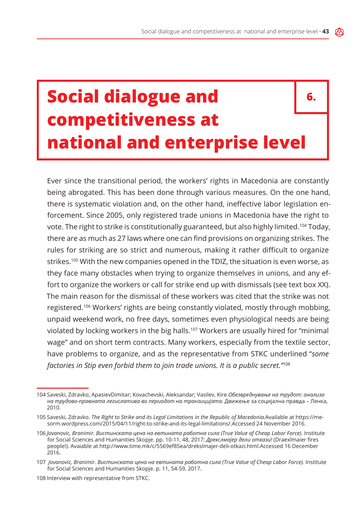## **Social dialogue and competitiveness at national and enterprise level 6.**

Ever since the transitional period, the workers' rights in Macedonia are constantly being abrogated. This has been done through various measures. On the one hand, there is systematic violation and, on the other hand, ineffective labor legislation enforcement. Since 2005, only registered trade unions in Macedonia have the right to vote. The right to strike is constitutionally guaranteed, but also highly limited.104 Today, there are as much as 27 laws where one can find provisions on organizing strikes. The rules for striking are so strict and numerous, making it rather difficult to organize strikes.<sup>105</sup> With the new companies opened in the TDIZ, the situation is even worse, as they face many obstacles when trying to organize themselves in unions, and any effort to organize the workers or call for strike end up with dismissals (see text box XX). The main reason for the dismissal of these workers was cited that the strike was not registered.106 Workers' rights are being constantly violated, mostly through mobbing, unpaid weekend work, no free days, sometimes even physiological needs are being violated by locking workers in the big halls.<sup>107</sup> Workers are usually hired for "minimal wage" and on short term contracts. Many workers, especially from the textile sector, have problems to organize, and as the representative from STKC underlined "*some factories in Stip even forbid them to join trade unions. It is a public secret."108*

<sup>104</sup> Saveski, Zdravko; ApasievDimitar; Kovachevski, Aleksandar; Vasilev, Kire.*Обезвреднување на трудот: анализа на трудово-правната легислатива во периодот на транзицијата.* Движење за социјална правда – Ленка, 2010.

<sup>105</sup> Saveski, Zdravko. *The Right to Strike and its Legal Limitations in the Republic of Macedonia.*Available at https://mesorm.wordpress.com/2015/04/11/right-to-strike-and-its-legal-limitations/.Accessed 24 November 2016.

<sup>106</sup> *Jovanovic, Branimir. Вистинската цена на евтината работна сила (True Value of Cheap Labor Force).* Institute for Social Sciences and Humanities Skopje. pp. 10-11, 48, 2017; *Дрекслмајер дели откази!* (Draexlmaier fires people!). Avaiable at http://www.time.mk/c/5569ef85ea/drekslmajer-deli-otkazi.html.Accessed 16 December 2016.

<sup>107</sup> *Jovanovic, Branimir. Вистинската цена на евтината работна сила (True Value of Cheap Labor Force).* Institute for Social Sciences and Humanities Skopje. p. 11, 54-59, 2017.

<sup>108</sup> Interview with representative from STKC.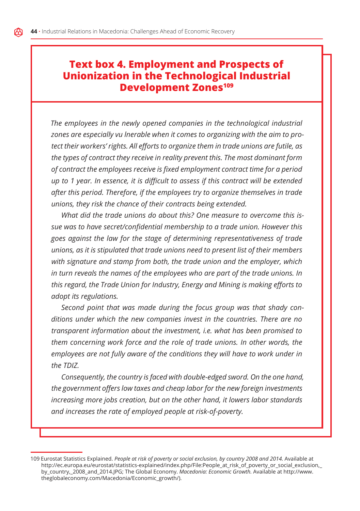### **Text box 4. Employment and Prospects of Unionization in the Technological Industrial Development Zones<sup>109</sup>**

*The employees in the newly opened companies in the technological industrial zones are especially vu lnerable when it comes to organizing with the aim to protect their workers' rights. All efforts to organize them in trade unions are futile, as the types of contract they receive in reality prevent this. The most dominant form of contract the employees receive is fixed employment contract time for a period up to 1 year. In essence, it is difficult to assess if this contract will be extended after this period. Therefore, if the employees try to organize themselves in trade unions, they risk the chance of their contracts being extended.* 

*What did the trade unions do about this? One measure to overcome this issue was to have secret/confidential membership to a trade union. However this goes against the law for the stage of determining representativeness of trade unions, as it is stipulated that trade unions need to present list of their members with signature and stamp from both, the trade union and the employer, which in turn reveals the names of the employees who are part of the trade unions. In this regard, the Trade Union for Industry, Energy and Mining is making efforts to adopt its regulations.*

*Second point that was made during the focus group was that shady conditions under which the new companies invest in the countries. There are no transparent information about the investment, i.e. what has been promised to them concerning work force and the role of trade unions. In other words, the employees are not fully aware of the conditions they will have to work under in the TDIZ.*

*Consequently, the country is faced with double-edged sword. On the one hand, the government offers low taxes and cheap labor for the new foreign investments increasing more jobs creation, but on the other hand, it lowers labor standards and increases the rate of employed people at risk-of-poverty.* 

<sup>109</sup> Eurostat Statistics Explained. People at risk of poverty or social exclusion, by country 2008 and 2014. Available at http://ec.europa.eu/eurostat/statistics-explained/index.php/File:People\_at\_risk\_of\_poverty\_or\_social\_exclusion,\_ by\_country,\_2008\_and\_2014.JPG; The Global Economy. *Macedonia: Economic Growth.* Available at http://www. theglobaleconomy.com/Macedonia/Economic\_growth/).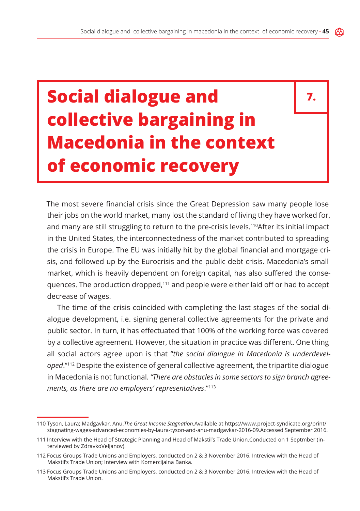**7.**

# **Social dialogue and collective bargaining in Macedonia in the context of economic recovery**

The most severe financial crisis since the Great Depression saw many people lose their jobs on the world market, many lost the standard of living they have worked for, and many are still struggling to return to the pre-crisis levels.<sup>110</sup>After its initial impact in the United States, the interconnectedness of the market contributed to spreading the crisis in Europe. The EU was initially hit by the global financial and mortgage crisis, and followed up by the Eurocrisis and the public debt crisis. Macedonia's small market, which is heavily dependent on foreign capital, has also suffered the consequences. The production dropped,<sup>111</sup> and people were either laid off or had to accept decrease of wages.

The time of the crisis coincided with completing the last stages of the social dialogue development, i.e. signing general collective agreements for the private and public sector. In turn, it has effectuated that 100% of the working force was covered by a collective agreement. However, the situation in practice was different. One thing all social actors agree upon is that "*the social dialogue in Macedonia is underdeveloped*.''112 Despite the existence of general collective agreement, the tripartite dialogue in Macedonia is not functional. *"There are obstacles in some sectors to sign branch agreements, as there are no employers' representatives*."<sup>113</sup>

<sup>110</sup> Tyson, Laura; Madgavkar, Anu.*The Great Income Stagnation.*Available at https://www.project-syndicate.org/print/ stagnating-wages-advanced-economies-by-laura-tyson-and-anu-madgavkar-2016-09.Accessed September 2016.

<sup>111</sup> Interview with the Head of Strategic Planning and Head of Makstil's Trade Union.Conducted on 1 Septmber (interviewed by ZdravkoVeljanov).

<sup>112</sup> Focus Groups Trade Unions and Employers, conducted on 2 & 3 November 2016. Intreview with the Head of Makstil's Trade Union; Interview with Komercijalna Banka.

<sup>113</sup> Focus Groups Trade Unions and Employers, conducted on 2 & 3 November 2016. Intreview with the Head of Makstil's Trade Union.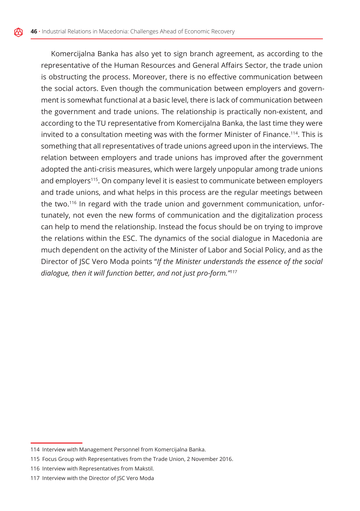Komercijalna Banka has also yet to sign branch agreement, as according to the representative of the Human Resources and General Affairs Sector, the trade union is obstructing the process. Moreover, there is no effective communication between the social actors. Even though the communication between employers and government is somewhat functional at a basic level, there is lack of communication between the government and trade unions. The relationship is practically non-existent, and according to the TU representative from Komercijalna Banka, the last time they were invited to a consultation meeting was with the former Minister of Finance.114. This is something that all representatives of trade unions agreed upon in the interviews. The relation between employers and trade unions has improved after the government adopted the anti-crisis measures, which were largely unpopular among trade unions and employers115. On company level it is easiest to communicate between employers and trade unions, and what helps in this process are the regular meetings between the two.<sup>116</sup> In regard with the trade union and government communication, unfortunately, not even the new forms of communication and the digitalization process can help to mend the relationship. Instead the focus should be on trying to improve the relations within the ESC. The dynamics of the social dialogue in Macedonia are much dependent on the activity of the Minister of Labor and Social Policy, and as the Director of JSC Vero Moda points "*If the Minister understands the essence of the social dialogue, then it will function better, and not just pro-form."117*

<sup>114</sup> Interview with Management Personnel from Komercijalna Banka.

<sup>115</sup> Focus Group with Representatives from the Trade Union, 2 November 2016.

<sup>116</sup> Interview with Representatives from Makstil.

<sup>117</sup> Interview with the Director of JSC Vero Moda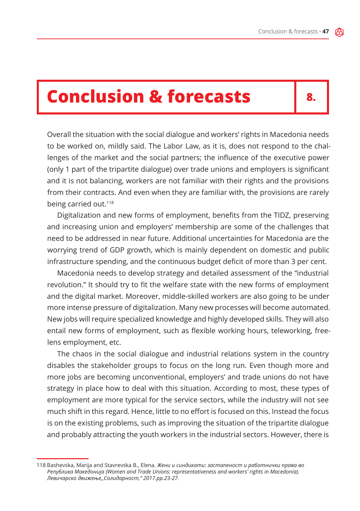## **Conclusion & forecasts**

**8.**

Overall the situation with the social dialogue and workers' rights in Macedonia needs to be worked on, mildly said. The Labor Law, as it is, does not respond to the challenges of the market and the social partners; the influence of the executive power (only 1 part of the tripartite dialogue) over trade unions and employers is significant and it is not balancing, workers are not familiar with their rights and the provisions from their contracts. And even when they are familiar with, the provisions are rarely being carried out.<sup>118</sup>

Digitalization and new forms of employment, benefits from the TIDZ, preserving and increasing union and employers' membership are some of the challenges that need to be addressed in near future. Additional uncertainties for Macedonia are the worrying trend of GDP growth, which is mainly dependent on domestic and public infrastructure spending, and the continuous budget deficit of more than 3 per cent.

Macedonia needs to develop strategy and detailed assessment of the "industrial revolution." It should try to fit the welfare state with the new forms of employment and the digital market. Moreover, middle-skilled workers are also going to be under more intense pressure of digitalization. Many new processes will become automated. New jobs will require specialized knowledge and highly developed skills. They will also entail new forms of employment, such as flexible working hours, teleworking, freelens employment, etc.

The chaos in the social dialogue and industrial relations system in the country disables the stakeholder groups to focus on the long run. Even though more and more jobs are becoming unconventional, employers' and trade unions do not have strategy in place how to deal with this situation. According to most, these types of employment are more typical for the service sectors, while the industry will not see much shift in this regard. Hence, little to no effort is focused on this. Instead the focus is on the existing problems, such as improving the situation of the tripartite dialogue and probably attracting the youth workers in the industrial sectors. However, there is

<sup>118</sup> Bashevska, Marija and Stavrevska B., Elena. *Жени и синдикати: застапеност и работнички права во Република Македонија (Women and Trade Unions: representativeness and workers' rights in Macedonia). Левичарско движење,,Солидарност," 2017.pp.23-27.*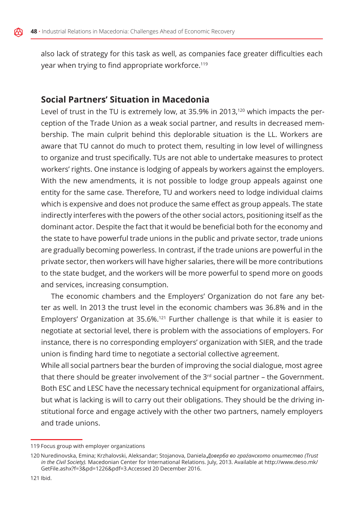also lack of strategy for this task as well, as companies face greater difficulties each year when trying to find appropriate workforce.<sup>119</sup>

#### **Social Partners' Situation in Macedonia**

Level of trust in the TU is extremely low, at 35.9% in 2013,<sup>120</sup> which impacts the perception of the Trade Union as a weak social partner, and results in decreased membership. The main culprit behind this deplorable situation is the LL. Workers are aware that TU cannot do much to protect them, resulting in low level of willingness to organize and trust specifically. TUs are not able to undertake measures to protect workers' rights. One instance is lodging of appeals by workers against the employers. With the new amendments, it is not possible to lodge group appeals against one entity for the same case. Therefore, TU and workers need to lodge individual claims which is expensive and does not produce the same effect as group appeals. The state indirectly interferes with the powers of the other social actors, positioning itself as the dominant actor. Despite the fact that it would be beneficial both for the economy and the state to have powerful trade unions in the public and private sector, trade unions are gradually becoming powerless. In contrast, if the trade unions are powerful in the private sector, then workers will have higher salaries, there will be more contributions to the state budget, and the workers will be more powerful to spend more on goods and services, increasing consumption.

The economic chambers and the Employers' Organization do not fare any better as well. In 2013 the trust level in the economic chambers was 36.8% and in the Employers' Organization at 35.6%.121 Further challenge is that while it is easier to negotiate at sectorial level, there is problem with the associations of employers. For instance, there is no corresponding employers' organization with SIER, and the trade union is finding hard time to negotiate a sectorial collective agreement.

While all social partners bear the burden of improving the social dialogue, most agree that there should be greater involvement of the  $3<sup>rd</sup>$  social partner – the Government. Both ESC and LESC have the necessary technical equipment for organizational affairs, but what is lacking is will to carry out their obligations. They should be the driving institutional force and engage actively with the other two partners, namely employers and trade unions.

<sup>119</sup> Focus group with employer organizations

<sup>120</sup> Nuredinovska, Emina; Krzhalovski, Aleksandar; Stojanova, Daniela.*Доверба во граѓанското општество (Trust in the Civil Society).* Macedonian Center for International Relations. July, 2013. Available at http://www.deso.mk/ GetFile.ashx?f=3&pd=1226&pdf=3.Accessed 20 December 2016.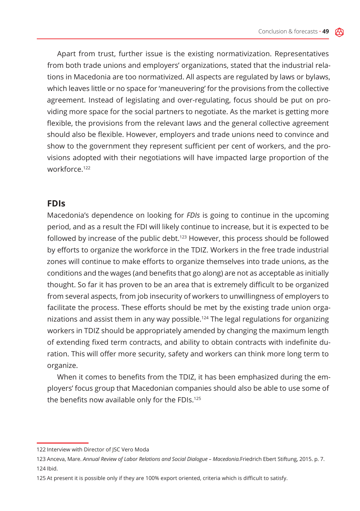Apart from trust, further issue is the existing normativization. Representatives from both trade unions and employers' organizations, stated that the industrial relations in Macedonia are too normativized. All aspects are regulated by laws or bylaws, which leaves little or no space for 'maneuvering' for the provisions from the collective agreement. Instead of legislating and over-regulating, focus should be put on providing more space for the social partners to negotiate. As the market is getting more flexible, the provisions from the relevant laws and the general collective agreement should also be flexible. However, employers and trade unions need to convince and show to the government they represent sufficient per cent of workers, and the provisions adopted with their negotiations will have impacted large proportion of the workforce.122

#### **FDIs**

Macedonia's dependence on looking for *FDIs* is going to continue in the upcoming period, and as a result the FDI will likely continue to increase, but it is expected to be followed by increase of the public debt.<sup>123</sup> However, this process should be followed by efforts to organize the workforce in the TDIZ. Workers in the free trade industrial zones will continue to make efforts to organize themselves into trade unions, as the conditions and the wages (and benefits that go along) are not as acceptable as initially thought. So far it has proven to be an area that is extremely difficult to be organized from several aspects, from job insecurity of workers to unwillingness of employers to facilitate the process. These efforts should be met by the existing trade union organizations and assist them in any way possible.124 The legal regulations for organizing workers in TDIZ should be appropriately amended by changing the maximum length of extending fixed term contracts, and ability to obtain contracts with indefinite duration. This will offer more security, safety and workers can think more long term to organize.

When it comes to benefits from the TDIZ, it has been emphasized during the employers' focus group that Macedonian companies should also be able to use some of the benefits now available only for the FDIs.<sup>125</sup>

<sup>122</sup> Interview with Director of JSC Vero Moda

<sup>123</sup> Anceva, Mare. *Annual Review of Labor Relations and Social Dialogue – Macedonia.*Friedrich Ebert Stiftung, 2015. p. 7. 124 Ibid.

<sup>125</sup> At present it is possible only if they are 100% export oriented, criteria which is difficult to satisfy.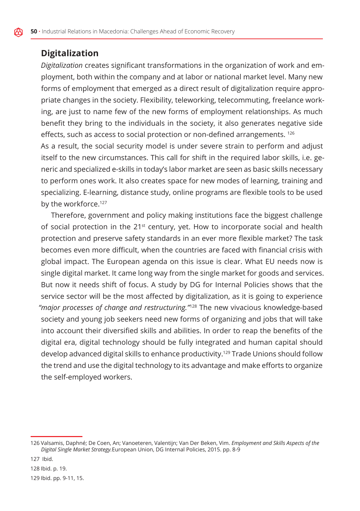#### **Digitalization**

*Digitalization* creates significant transformations in the organization of work and employment, both within the company and at labor or national market level. Many new forms of employment that emerged as a direct result of digitalization require appropriate changes in the society. Flexibility, teleworking, telecommuting, freelance working, are just to name few of the new forms of employment relationships. As much benefit they bring to the individuals in the society, it also generates negative side effects, such as access to social protection or non-defined arrangements. <sup>126</sup>

As a result, the social security model is under severe strain to perform and adjust itself to the new circumstances. This call for shift in the required labor skills, i.e. generic and specialized e-skills in today's labor market are seen as basic skills necessary to perform ones work. It also creates space for new modes of learning, training and specializing. E-learning, distance study, online programs are flexible tools to be used by the workforce.<sup>127</sup>

Therefore, government and policy making institutions face the biggest challenge of social protection in the  $21^{st}$  century, yet. How to incorporate social and health protection and preserve safety standards in an ever more flexible market? The task becomes even more difficult, when the countries are faced with financial crisis with global impact. The European agenda on this issue is clear. What EU needs now is single digital market. It came long way from the single market for goods and services. But now it needs shift of focus. A study by DG for Internal Policies shows that the service sector will be the most affected by digitalization, as it is going to experience *"major processes of change and restructuring."*<sup>128</sup> The new vivacious knowledge-based society and young job seekers need new forms of organizing and jobs that will take into account their diversified skills and abilities. In order to reap the benefits of the digital era, digital technology should be fully integrated and human capital should develop advanced digital skills to enhance productivity.129 Trade Unions should follow the trend and use the digital technology to its advantage and make efforts to organize the self-employed workers.

<sup>126</sup> Valsamis, Daphné; De Coen, An; Vanoeteren, Valentijn; Van Der Beken, Vim. *Employment and Skills Aspects of the Digital Single Market Strategy.*European Union, DG Internal Policies, 2015. pp. 8-9

<sup>127</sup> Ibid.

<sup>128</sup> Ibid. p. 19.

<sup>129</sup> Ibid. pp. 9-11, 15.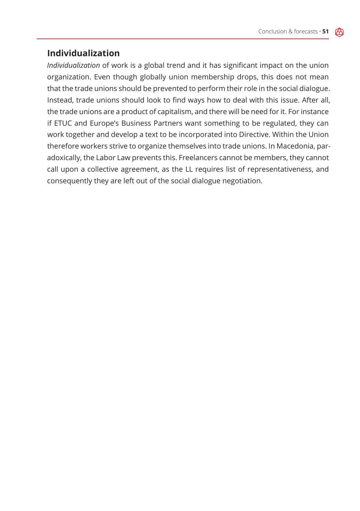#### **Individualization**

*Individualization* of work is a global trend and it has significant impact on the union organization. Even though globally union membership drops, this does not mean that the trade unions should be prevented to perform their role in the social dialogue. Instead, trade unions should look to find ways how to deal with this issue. After all, the trade unions are a product of capitalism, and there will be need for it. For instance if ETUC and Europe's Business Partners want something to be regulated, they can work together and develop a text to be incorporated into Directive. Within the Union therefore workers strive to organize themselves into trade unions. In Macedonia, paradoxically, the Labor Law prevents this. Freelancers cannot be members, they cannot call upon a collective agreement, as the LL requires list of representativeness, and consequently they are left out of the social dialogue negotiation.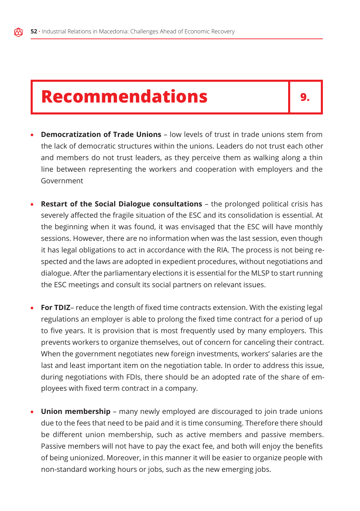## **Recommendations**

- **Democratization of Trade Unions** low levels of trust in trade unions stem from the lack of democratic structures within the unions. Leaders do not trust each other and members do not trust leaders, as they perceive them as walking along a thin line between representing the workers and cooperation with employers and the Government
- **Restart of the Social Dialogue consultations** the prolonged political crisis has severely affected the fragile situation of the ESC and its consolidation is essential. At the beginning when it was found, it was envisaged that the ESC will have monthly sessions. However, there are no information when was the last session, even though it has legal obligations to act in accordance with the RIA. The process is not being respected and the laws are adopted in expedient procedures, without negotiations and dialogue. After the parliamentary elections it is essential for the MLSP to start running the ESC meetings and consult its social partners on relevant issues.
- **For TDIZ** reduce the length of fixed time contracts extension. With the existing legal regulations an employer is able to prolong the fixed time contract for a period of up to five years. It is provision that is most frequently used by many employers. This prevents workers to organize themselves, out of concern for canceling their contract. When the government negotiates new foreign investments, workers' salaries are the last and least important item on the negotiation table. In order to address this issue, during negotiations with FDIs, there should be an adopted rate of the share of employees with fixed term contract in a company.
- **Union membership** many newly employed are discouraged to join trade unions due to the fees that need to be paid and it is time consuming. Therefore there should be different union membership, such as active members and passive members. Passive members will not have to pay the exact fee, and both will enjoy the benefits of being unionized. Moreover, in this manner it will be easier to organize people with non-standard working hours or jobs, such as the new emerging jobs.